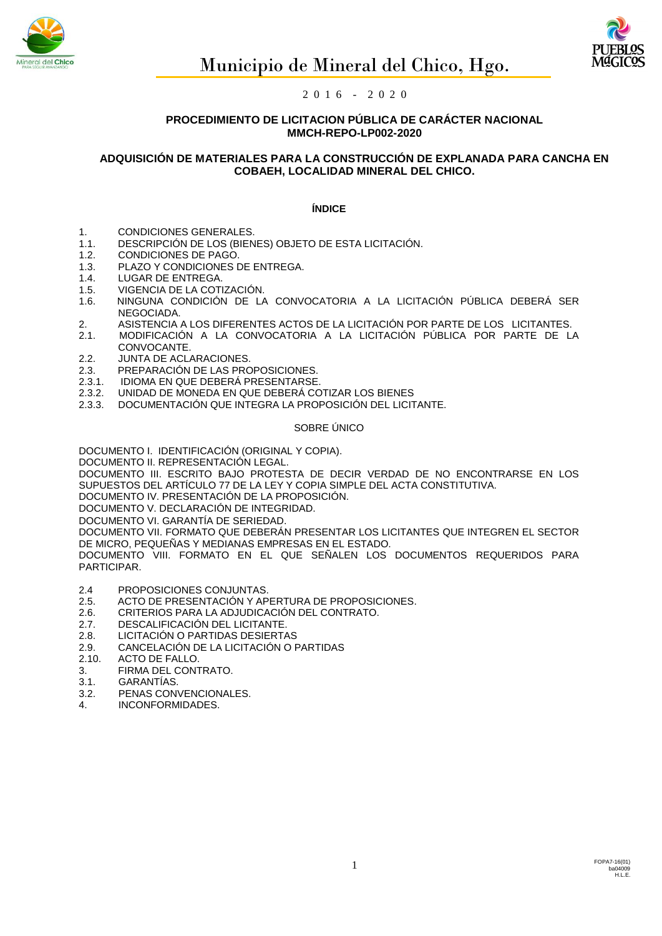



## **PROCEDIMIENTO DE LICITACION PÚBLICA DE CARÁCTER NACIONAL MMCH-REPO-LP002-2020**

# **ADQUISICIÓN DE MATERIALES PARA LA CONSTRUCCIÓN DE EXPLANADA PARA CANCHA EN COBAEH, LOCALIDAD MINERAL DEL CHICO.**

## **ÍNDICE**

- 1. CONDICIONES GENERALES.
- 1.1. DESCRIPCIÓN DE LOS (BIENES) OBJETO DE ESTA LICITACIÓN.
- 1.2. CONDICIONES DE PAGO.
- 1.3. PLAZO Y CONDICIONES DE ENTREGA.
- 1.4. LUGAR DE ENTREGA.
- 1.5. VIGENCIA DE LA COTIZACIÓN.
- 1.6. NINGUNA CONDICIÓN DE LA CONVOCATORIA A LA LICITACIÓN PÚBLICA DEBERÁ SER NEGOCIADA.
- 2. ASISTENCIA A LOS DIFERENTES ACTOS DE LA LICITACIÓN POR PARTE DE LOS LICITANTES.
- 2.1. MODIFICACIÓN A LA CONVOCATORIA A LA LICITACIÓN PÚBLICA POR PARTE DE LA CONVOCANTE.
- 2.2. JUNTA DE ACLARACIONES.
- 2.3. PREPARACIÓN DE LAS PROPOSICIONES.
- 2.3.1. IDIOMA EN QUE DEBERÁ PRESENTARSE.
- 2.3.2. UNIDAD DE MONEDA EN QUE DEBERÁ COTIZAR LOS BIENES
- 2.3.3. DOCUMENTACIÓN QUE INTEGRA LA PROPOSICIÓN DEL LICITANTE.

#### SOBRE ÚNICO

DOCUMENTO I. IDENTIFICACIÓN (ORIGINAL Y COPIA).

DOCUMENTO II. REPRESENTACIÓN LEGAL.

DOCUMENTO III. ESCRITO BAJO PROTESTA DE DECIR VERDAD DE NO ENCONTRARSE EN LOS SUPUESTOS DEL ARTÍCULO 77 DE LA LEY Y COPIA SIMPLE DEL ACTA CONSTITUTIVA.

DOCUMENTO IV. PRESENTACIÓN DE LA PROPOSICIÓN.

DOCUMENTO V. DECLARACIÓN DE INTEGRIDAD.

DOCUMENTO VI. GARANTÍA DE SERIEDAD.

DOCUMENTO VII. FORMATO QUE DEBERÁN PRESENTAR LOS LICITANTES QUE INTEGREN EL SECTOR DE MICRO, PEQUEÑAS Y MEDIANAS EMPRESAS EN EL ESTADO.

DOCUMENTO VIII. FORMATO EN EL QUE SEÑALEN LOS DOCUMENTOS REQUERIDOS PARA PARTICIPAR.

- 2.4 PROPOSICIONES CONJUNTAS.
- 2.5. ACTO DE PRESENTACIÓN Y APERTURA DE PROPOSICIONES.
- 2.6. CRITERIOS PARA LA ADJUDICACIÓN DEL CONTRATO.
- 2.7. DESCALIFICACIÓN DEL LICITANTE.
- 2.8. LICITACIÓN O PARTIDAS DESIERTAS
- 2.9. CANCELACIÓN DE LA LICITACIÓN O PARTIDAS
- 2.10. ACTO DE FALLO.
- 3. FIRMA DEL CONTRATO.
- 3.1. GARANTÍAS.
- 3.2. PENAS CONVENCIONALES.
- 4. INCONFORMIDADES.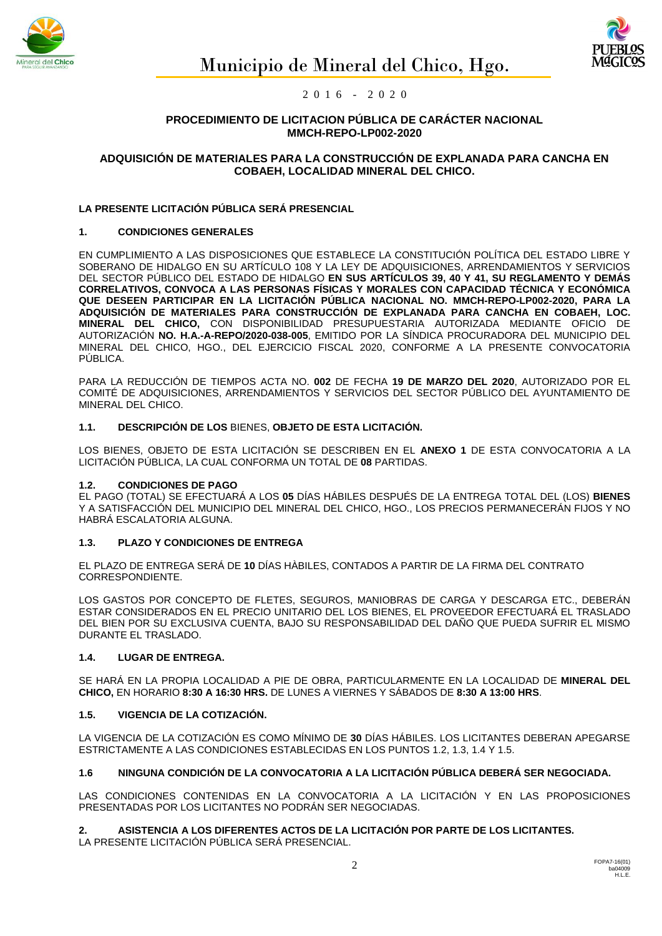



## **PROCEDIMIENTO DE LICITACION PÚBLICA DE CARÁCTER NACIONAL MMCH-REPO-LP002-2020**

# **ADQUISICIÓN DE MATERIALES PARA LA CONSTRUCCIÓN DE EXPLANADA PARA CANCHA EN COBAEH, LOCALIDAD MINERAL DEL CHICO.**

# **LA PRESENTE LICITACIÓN PÚBLICA SERÁ PRESENCIAL**

## **1. CONDICIONES GENERALES**

EN CUMPLIMIENTO A LAS DISPOSICIONES QUE ESTABLECE LA CONSTITUCIÓN POLÍTICA DEL ESTADO LIBRE Y SOBERANO DE HIDALGO EN SU ARTÍCULO 108 Y LA LEY DE ADQUISICIONES, ARRENDAMIENTOS Y SERVICIOS DEL SECTOR PÚBLICO DEL ESTADO DE HIDALGO **EN SUS ARTÍCULOS 39, 40 Y 41, SU REGLAMENTO Y DEMÁS CORRELATIVOS, CONVOCA A LAS PERSONAS FÍSICAS Y MORALES CON CAPACIDAD TÉCNICA Y ECONÓMICA QUE DESEEN PARTICIPAR EN LA LICITACIÓN PÚBLICA NACIONAL NO. MMCH-REPO-LP002-2020, PARA LA ADQUISICIÓN DE MATERIALES PARA CONSTRUCCIÓN DE EXPLANADA PARA CANCHA EN COBAEH, LOC. MINERAL DEL CHICO,** CON DISPONIBILIDAD PRESUPUESTARIA AUTORIZADA MEDIANTE OFICIO DE AUTORIZACIÓN **NO. H.A.-A-REPO/2020-038-005**, EMITIDO POR LA SÍNDICA PROCURADORA DEL MUNICIPIO DEL MINERAL DEL CHICO, HGO., DEL EJERCICIO FISCAL 2020, CONFORME A LA PRESENTE CONVOCATORIA PÚBLICA.

PARA LA REDUCCIÓN DE TIEMPOS ACTA NO. **002** DE FECHA **19 DE MARZO DEL 2020**, AUTORIZADO POR EL COMITÉ DE ADQUISICIONES, ARRENDAMIENTOS Y SERVICIOS DEL SECTOR PÚBLICO DEL AYUNTAMIENTO DE MINERAL DEL CHICO.

## **1.1. DESCRIPCIÓN DE LOS** BIENES, **OBJETO DE ESTA LICITACIÓN.**

LOS BIENES, OBJETO DE ESTA LICITACIÓN SE DESCRIBEN EN EL **ANEXO 1** DE ESTA CONVOCATORIA A LA LICITACIÓN PÚBLICA, LA CUAL CONFORMA UN TOTAL DE **08** PARTIDAS.

## **1.2. CONDICIONES DE PAGO**

EL PAGO (TOTAL) SE EFECTUARÁ A LOS **05** DÍAS HÁBILES DESPUÉS DE LA ENTREGA TOTAL DEL (LOS) **BIENES** Y A SATISFACCIÓN DEL MUNICIPIO DEL MINERAL DEL CHICO, HGO., LOS PRECIOS PERMANECERÁN FIJOS Y NO HABRÁ ESCALATORIA ALGUNA.

## **1.3. PLAZO Y CONDICIONES DE ENTREGA**

EL PLAZO DE ENTREGA SERÁ DE **10** DÍAS HÀBILES, CONTADOS A PARTIR DE LA FIRMA DEL CONTRATO CORRESPONDIENTE.

LOS GASTOS POR CONCEPTO DE FLETES, SEGUROS, MANIOBRAS DE CARGA Y DESCARGA ETC., DEBERÁN ESTAR CONSIDERADOS EN EL PRECIO UNITARIO DEL LOS BIENES, EL PROVEEDOR EFECTUARÁ EL TRASLADO DEL BIEN POR SU EXCLUSIVA CUENTA, BAJO SU RESPONSABILIDAD DEL DAÑO QUE PUEDA SUFRIR EL MISMO DURANTE EL TRASLADO.

## **1.4. LUGAR DE ENTREGA.**

SE HARÁ EN LA PROPIA LOCALIDAD A PIE DE OBRA, PARTICULARMENTE EN LA LOCALIDAD DE **MINERAL DEL CHICO,** EN HORARIO **8:30 A 16:30 HRS.** DE LUNES A VIERNES Y SÁBADOS DE **8:30 A 13:00 HRS**.

# **1.5. VIGENCIA DE LA COTIZACIÓN.**

LA VIGENCIA DE LA COTIZACIÓN ES COMO MÍNIMO DE **30** DÍAS HÁBILES. LOS LICITANTES DEBERAN APEGARSE ESTRICTAMENTE A LAS CONDICIONES ESTABLECIDAS EN LOS PUNTOS 1.2, 1.3, 1.4 Y 1.5.

## **1.6 NINGUNA CONDICIÓN DE LA CONVOCATORIA A LA LICITACIÓN PÚBLICA DEBERÁ SER NEGOCIADA.**

LAS CONDICIONES CONTENIDAS EN LA CONVOCATORIA A LA LICITACIÓN Y EN LAS PROPOSICIONES PRESENTADAS POR LOS LICITANTES NO PODRÁN SER NEGOCIADAS.

# **2. ASISTENCIA A LOS DIFERENTES ACTOS DE LA LICITACIÓN POR PARTE DE LOS LICITANTES.**

LA PRESENTE LICITACIÓN PÚBLICA SERÁ PRESENCIAL.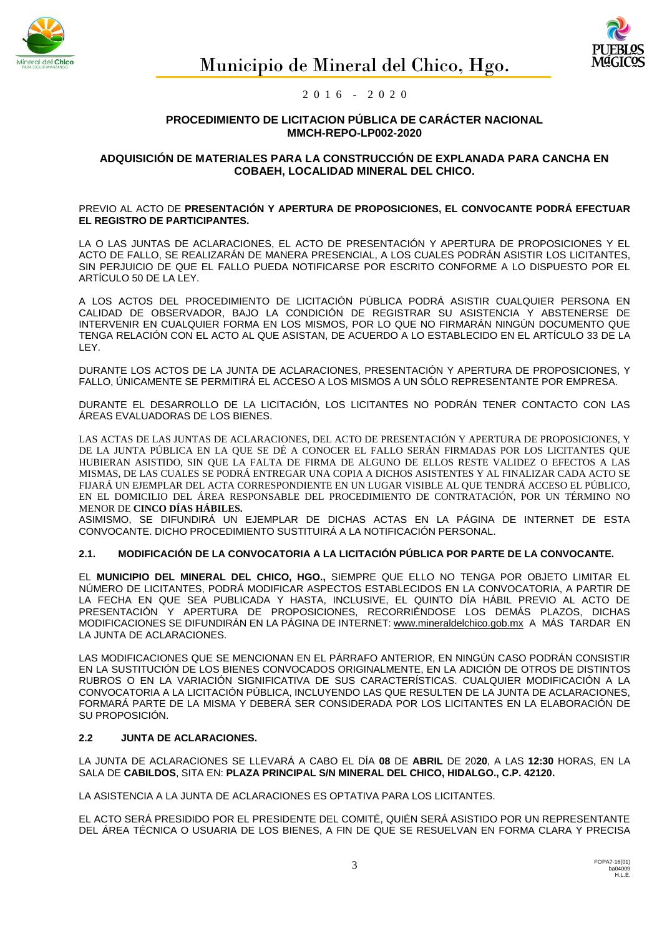



## **PROCEDIMIENTO DE LICITACION PÚBLICA DE CARÁCTER NACIONAL MMCH-REPO-LP002-2020**

## **ADQUISICIÓN DE MATERIALES PARA LA CONSTRUCCIÓN DE EXPLANADA PARA CANCHA EN COBAEH, LOCALIDAD MINERAL DEL CHICO.**

#### PREVIO AL ACTO DE **PRESENTACIÓN Y APERTURA DE PROPOSICIONES, EL CONVOCANTE PODRÁ EFECTUAR EL REGISTRO DE PARTICIPANTES.**

LA O LAS JUNTAS DE ACLARACIONES, EL ACTO DE PRESENTACIÓN Y APERTURA DE PROPOSICIONES Y EL ACTO DE FALLO, SE REALIZARÁN DE MANERA PRESENCIAL, A LOS CUALES PODRÁN ASISTIR LOS LICITANTES, SIN PERJUICIO DE QUE EL FALLO PUEDA NOTIFICARSE POR ESCRITO CONFORME A LO DISPUESTO POR EL ARTÍCULO 50 DE LA LEY.

A LOS ACTOS DEL PROCEDIMIENTO DE LICITACIÓN PÚBLICA PODRÁ ASISTIR CUALQUIER PERSONA EN CALIDAD DE OBSERVADOR, BAJO LA CONDICIÓN DE REGISTRAR SU ASISTENCIA Y ABSTENERSE DE INTERVENIR EN CUALQUIER FORMA EN LOS MISMOS, POR LO QUE NO FIRMARÁN NINGÚN DOCUMENTO QUE TENGA RELACIÓN CON EL ACTO AL QUE ASISTAN, DE ACUERDO A LO ESTABLECIDO EN EL ARTÍCULO 33 DE LA LEY.

DURANTE LOS ACTOS DE LA JUNTA DE ACLARACIONES, PRESENTACIÓN Y APERTURA DE PROPOSICIONES, Y FALLO, ÚNICAMENTE SE PERMITIRÁ EL ACCESO A LOS MISMOS A UN SÓLO REPRESENTANTE POR EMPRESA.

DURANTE EL DESARROLLO DE LA LICITACIÓN, LOS LICITANTES NO PODRÁN TENER CONTACTO CON LAS ÁREAS EVALUADORAS DE LOS BIENES.

LAS ACTAS DE LAS JUNTAS DE ACLARACIONES, DEL ACTO DE PRESENTACIÓN Y APERTURA DE PROPOSICIONES, Y DE LA JUNTA PÚBLICA EN LA QUE SE DÉ A CONOCER EL FALLO SERÁN FIRMADAS POR LOS LICITANTES QUE HUBIERAN ASISTIDO, SIN QUE LA FALTA DE FIRMA DE ALGUNO DE ELLOS RESTE VALIDEZ O EFECTOS A LAS MISMAS, DE LAS CUALES SE PODRÁ ENTREGAR UNA COPIA A DICHOS ASISTENTES Y AL FINALIZAR CADA ACTO SE FIJARÁ UN EJEMPLAR DEL ACTA CORRESPONDIENTE EN UN LUGAR VISIBLE AL QUE TENDRÁ ACCESO EL PÚBLICO, EN EL DOMICILIO DEL ÁREA RESPONSABLE DEL PROCEDIMIENTO DE CONTRATACIÓN, POR UN TÉRMINO NO MENOR DE **CINCO DÍAS HÁBILES.**

ASIMISMO, SE DIFUNDIRÁ UN EJEMPLAR DE DICHAS ACTAS EN LA PÁGINA DE INTERNET DE ESTA CONVOCANTE. DICHO PROCEDIMIENTO SUSTITUIRÁ A LA NOTIFICACIÓN PERSONAL.

## **2.1. MODIFICACIÓN DE LA CONVOCATORIA A LA LICITACIÓN PÚBLICA POR PARTE DE LA CONVOCANTE.**

EL **MUNICIPIO DEL MINERAL DEL CHICO, HGO.,** SIEMPRE QUE ELLO NO TENGA POR OBJETO LIMITAR EL NÚMERO DE LICITANTES, PODRÁ MODIFICAR ASPECTOS ESTABLECIDOS EN LA CONVOCATORIA, A PARTIR DE LA FECHA EN QUE SEA PUBLICADA Y HASTA, INCLUSIVE, EL QUINTO DÍA HÁBIL PREVIO AL ACTO DE PRESENTACIÓN Y APERTURA DE PROPOSICIONES, RECORRIÉNDOSE LOS DEMÁS PLAZOS, DICHAS MODIFICACIONES SE DIFUNDIRÁN EN LA PÁGINA DE INTERNET: www.mineraldelchico.gob.mx A MÁS TARDAR EN LA JUNTA DE ACLARACIONES.

LAS MODIFICACIONES QUE SE MENCIONAN EN EL PÁRRAFO ANTERIOR, EN NINGÚN CASO PODRÁN CONSISTIR EN LA SUSTITUCIÓN DE LOS BIENES CONVOCADOS ORIGINALMENTE, EN LA ADICIÓN DE OTROS DE DISTINTOS RUBROS O EN LA VARIACIÓN SIGNIFICATIVA DE SUS CARACTERÍSTICAS. CUALQUIER MODIFICACIÓN A LA CONVOCATORIA A LA LICITACIÓN PÚBLICA, INCLUYENDO LAS QUE RESULTEN DE LA JUNTA DE ACLARACIONES, FORMARÁ PARTE DE LA MISMA Y DEBERÁ SER CONSIDERADA POR LOS LICITANTES EN LA ELABORACIÓN DE SU PROPOSICIÓN.

# **2.2 JUNTA DE ACLARACIONES.**

LA JUNTA DE ACLARACIONES SE LLEVARÁ A CABO EL DÍA **08** DE **ABRIL** DE 20**20**, A LAS **12:30** HORAS, EN LA SALA DE **CABILDOS**, SITA EN: **PLAZA PRINCIPAL S/N MINERAL DEL CHICO, HIDALGO., C.P. 42120.**

LA ASISTENCIA A LA JUNTA DE ACLARACIONES ES OPTATIVA PARA LOS LICITANTES.

EL ACTO SERÁ PRESIDIDO POR EL PRESIDENTE DEL COMITÉ, QUIÉN SERÁ ASISTIDO POR UN REPRESENTANTE DEL ÁREA TÉCNICA O USUARIA DE LOS BIENES, A FIN DE QUE SE RESUELVAN EN FORMA CLARA Y PRECISA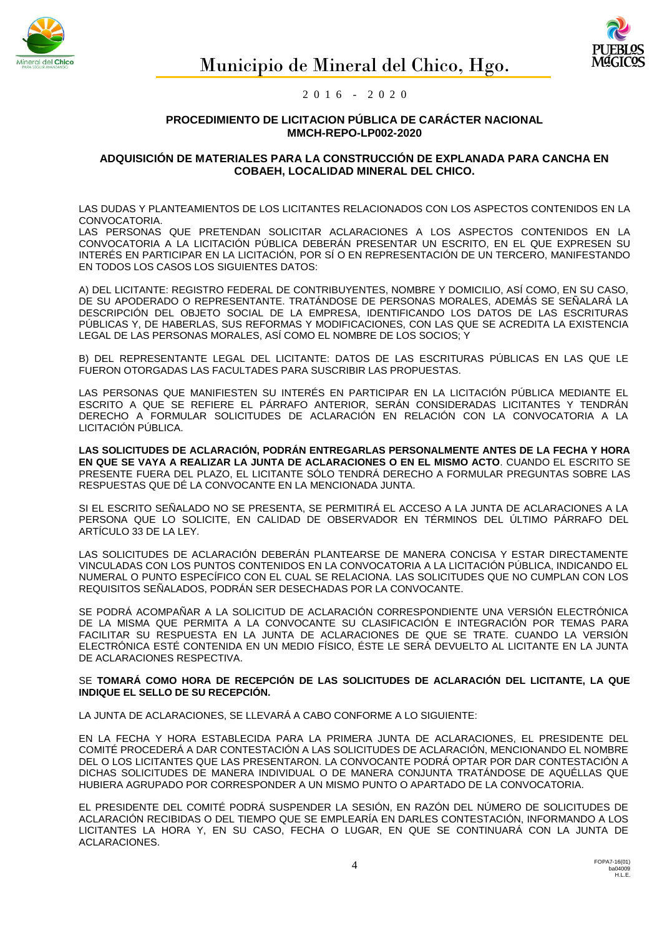



## **PROCEDIMIENTO DE LICITACION PÚBLICA DE CARÁCTER NACIONAL MMCH-REPO-LP002-2020**

## **ADQUISICIÓN DE MATERIALES PARA LA CONSTRUCCIÓN DE EXPLANADA PARA CANCHA EN COBAEH, LOCALIDAD MINERAL DEL CHICO.**

LAS DUDAS Y PLANTEAMIENTOS DE LOS LICITANTES RELACIONADOS CON LOS ASPECTOS CONTENIDOS EN LA CONVOCATORIA.

LAS PERSONAS QUE PRETENDAN SOLICITAR ACLARACIONES A LOS ASPECTOS CONTENIDOS EN LA CONVOCATORIA A LA LICITACIÓN PÚBLICA DEBERÁN PRESENTAR UN ESCRITO, EN EL QUE EXPRESEN SU INTERÉS EN PARTICIPAR EN LA LICITACIÓN, POR SÍ O EN REPRESENTACIÓN DE UN TERCERO, MANIFESTANDO EN TODOS LOS CASOS LOS SIGUIENTES DATOS:

A) DEL LICITANTE: REGISTRO FEDERAL DE CONTRIBUYENTES, NOMBRE Y DOMICILIO, ASÍ COMO, EN SU CASO, DE SU APODERADO O REPRESENTANTE. TRATÁNDOSE DE PERSONAS MORALES, ADEMÁS SE SEÑALARÁ LA DESCRIPCIÓN DEL OBJETO SOCIAL DE LA EMPRESA, IDENTIFICANDO LOS DATOS DE LAS ESCRITURAS PÚBLICAS Y, DE HABERLAS, SUS REFORMAS Y MODIFICACIONES, CON LAS QUE SE ACREDITA LA EXISTENCIA LEGAL DE LAS PERSONAS MORALES, ASÍ COMO EL NOMBRE DE LOS SOCIOS; Y

B) DEL REPRESENTANTE LEGAL DEL LICITANTE: DATOS DE LAS ESCRITURAS PÚBLICAS EN LAS QUE LE FUERON OTORGADAS LAS FACULTADES PARA SUSCRIBIR LAS PROPUESTAS.

LAS PERSONAS QUE MANIFIESTEN SU INTERÉS EN PARTICIPAR EN LA LICITACIÓN PÚBLICA MEDIANTE EL ESCRITO A QUE SE REFIERE EL PÁRRAFO ANTERIOR, SERÁN CONSIDERADAS LICITANTES Y TENDRÁN DERECHO A FORMULAR SOLICITUDES DE ACLARACIÓN EN RELACIÓN CON LA CONVOCATORIA A LA LICITACIÓN PÚBLICA.

**LAS SOLICITUDES DE ACLARACIÓN, PODRÁN ENTREGARLAS PERSONALMENTE ANTES DE LA FECHA Y HORA EN QUE SE VAYA A REALIZAR LA JUNTA DE ACLARACIONES O EN EL MISMO ACTO**. CUANDO EL ESCRITO SE PRESENTE FUERA DEL PLAZO, EL LICITANTE SÓLO TENDRÁ DERECHO A FORMULAR PREGUNTAS SOBRE LAS RESPUESTAS QUE DÉ LA CONVOCANTE EN LA MENCIONADA JUNTA.

SI EL ESCRITO SEÑALADO NO SE PRESENTA, SE PERMITIRÁ EL ACCESO A LA JUNTA DE ACLARACIONES A LA PERSONA QUE LO SOLICITE, EN CALIDAD DE OBSERVADOR EN TÉRMINOS DEL ÚLTIMO PÁRRAFO DEL ARTÍCULO 33 DE LA LEY.

LAS SOLICITUDES DE ACLARACIÓN DEBERÁN PLANTEARSE DE MANERA CONCISA Y ESTAR DIRECTAMENTE VINCULADAS CON LOS PUNTOS CONTENIDOS EN LA CONVOCATORIA A LA LICITACIÓN PÚBLICA, INDICANDO EL NUMERAL O PUNTO ESPECÍFICO CON EL CUAL SE RELACIONA. LAS SOLICITUDES QUE NO CUMPLAN CON LOS REQUISITOS SEÑALADOS, PODRÁN SER DESECHADAS POR LA CONVOCANTE.

SE PODRÁ ACOMPAÑAR A LA SOLICITUD DE ACLARACIÓN CORRESPONDIENTE UNA VERSIÓN ELECTRÓNICA DE LA MISMA QUE PERMITA A LA CONVOCANTE SU CLASIFICACIÓN E INTEGRACIÓN POR TEMAS PARA FACILITAR SU RESPUESTA EN LA JUNTA DE ACLARACIONES DE QUE SE TRATE. CUANDO LA VERSIÓN ELECTRÓNICA ESTÉ CONTENIDA EN UN MEDIO FÍSICO, ÉSTE LE SERÁ DEVUELTO AL LICITANTE EN LA JUNTA DE ACLARACIONES RESPECTIVA.

#### SE **TOMARÁ COMO HORA DE RECEPCIÓN DE LAS SOLICITUDES DE ACLARACIÓN DEL LICITANTE, LA QUE INDIQUE EL SELLO DE SU RECEPCIÓN.**

LA JUNTA DE ACLARACIONES, SE LLEVARÁ A CABO CONFORME A LO SIGUIENTE:

EN LA FECHA Y HORA ESTABLECIDA PARA LA PRIMERA JUNTA DE ACLARACIONES, EL PRESIDENTE DEL COMITÉ PROCEDERÁ A DAR CONTESTACIÓN A LAS SOLICITUDES DE ACLARACIÓN, MENCIONANDO EL NOMBRE DEL O LOS LICITANTES QUE LAS PRESENTARON. LA CONVOCANTE PODRÁ OPTAR POR DAR CONTESTACIÓN A DICHAS SOLICITUDES DE MANERA INDIVIDUAL O DE MANERA CONJUNTA TRATÁNDOSE DE AQUÉLLAS QUE HUBIERA AGRUPADO POR CORRESPONDER A UN MISMO PUNTO O APARTADO DE LA CONVOCATORIA.

EL PRESIDENTE DEL COMITÉ PODRÁ SUSPENDER LA SESIÓN, EN RAZÓN DEL NÚMERO DE SOLICITUDES DE ACLARACIÓN RECIBIDAS O DEL TIEMPO QUE SE EMPLEARÍA EN DARLES CONTESTACIÓN, INFORMANDO A LOS LICITANTES LA HORA Y, EN SU CASO, FECHA O LUGAR, EN QUE SE CONTINUARÁ CON LA JUNTA DE ACLARACIONES.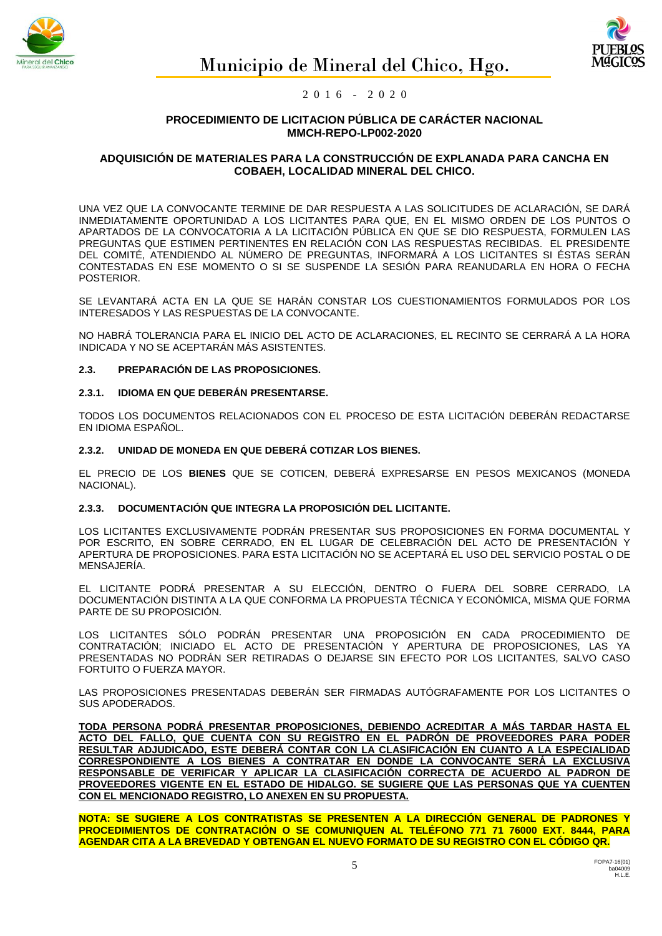



## **PROCEDIMIENTO DE LICITACION PÚBLICA DE CARÁCTER NACIONAL MMCH-REPO-LP002-2020**

## **ADQUISICIÓN DE MATERIALES PARA LA CONSTRUCCIÓN DE EXPLANADA PARA CANCHA EN COBAEH, LOCALIDAD MINERAL DEL CHICO.**

UNA VEZ QUE LA CONVOCANTE TERMINE DE DAR RESPUESTA A LAS SOLICITUDES DE ACLARACIÓN, SE DARÁ INMEDIATAMENTE OPORTUNIDAD A LOS LICITANTES PARA QUE, EN EL MISMO ORDEN DE LOS PUNTOS O APARTADOS DE LA CONVOCATORIA A LA LICITACIÓN PÚBLICA EN QUE SE DIO RESPUESTA, FORMULEN LAS PREGUNTAS QUE ESTIMEN PERTINENTES EN RELACIÓN CON LAS RESPUESTAS RECIBIDAS. EL PRESIDENTE DEL COMITÉ, ATENDIENDO AL NÚMERO DE PREGUNTAS, INFORMARÁ A LOS LICITANTES SI ÉSTAS SERÁN CONTESTADAS EN ESE MOMENTO O SI SE SUSPENDE LA SESIÓN PARA REANUDARLA EN HORA O FECHA POSTERIOR.

SE LEVANTARÁ ACTA EN LA QUE SE HARÁN CONSTAR LOS CUESTIONAMIENTOS FORMULADOS POR LOS INTERESADOS Y LAS RESPUESTAS DE LA CONVOCANTE.

NO HABRÁ TOLERANCIA PARA EL INICIO DEL ACTO DE ACLARACIONES, EL RECINTO SE CERRARÁ A LA HORA INDICADA Y NO SE ACEPTARÁN MÁS ASISTENTES.

## **2.3. PREPARACIÓN DE LAS PROPOSICIONES.**

#### **2.3.1. IDIOMA EN QUE DEBERÁN PRESENTARSE.**

TODOS LOS DOCUMENTOS RELACIONADOS CON EL PROCESO DE ESTA LICITACIÓN DEBERÁN REDACTARSE EN IDIOMA ESPAÑOL.

#### **2.3.2. UNIDAD DE MONEDA EN QUE DEBERÁ COTIZAR LOS BIENES.**

EL PRECIO DE LOS **BIENES** QUE SE COTICEN, DEBERÁ EXPRESARSE EN PESOS MEXICANOS (MONEDA NACIONAL).

#### **2.3.3. DOCUMENTACIÓN QUE INTEGRA LA PROPOSICIÓN DEL LICITANTE.**

LOS LICITANTES EXCLUSIVAMENTE PODRÁN PRESENTAR SUS PROPOSICIONES EN FORMA DOCUMENTAL Y POR ESCRITO, EN SOBRE CERRADO, EN EL LUGAR DE CELEBRACIÓN DEL ACTO DE PRESENTACIÓN Y APERTURA DE PROPOSICIONES. PARA ESTA LICITACIÓN NO SE ACEPTARÁ EL USO DEL SERVICIO POSTAL O DE MENSAJERÍA.

EL LICITANTE PODRÁ PRESENTAR A SU ELECCIÓN, DENTRO O FUERA DEL SOBRE CERRADO, LA DOCUMENTACIÓN DISTINTA A LA QUE CONFORMA LA PROPUESTA TÉCNICA Y ECONÓMICA, MISMA QUE FORMA PARTE DE SU PROPOSICIÓN.

LOS LICITANTES SÓLO PODRÁN PRESENTAR UNA PROPOSICIÓN EN CADA PROCEDIMIENTO DE CONTRATACIÓN; INICIADO EL ACTO DE PRESENTACIÓN Y APERTURA DE PROPOSICIONES, LAS YA PRESENTADAS NO PODRÁN SER RETIRADAS O DEJARSE SIN EFECTO POR LOS LICITANTES, SALVO CASO FORTUITO O FUERZA MAYOR.

LAS PROPOSICIONES PRESENTADAS DEBERÁN SER FIRMADAS AUTÓGRAFAMENTE POR LOS LICITANTES O SUS APODERADOS.

**TODA PERSONA PODRÁ PRESENTAR PROPOSICIONES, DEBIENDO ACREDITAR A MÁS TARDAR HASTA EL ACTO DEL FALLO, QUE CUENTA CON SU REGISTRO EN EL PADRÓN DE PROVEEDORES PARA PODER RESULTAR ADJUDICADO, ESTE DEBERÁ CONTAR CON LA CLASIFICACIÓN EN CUANTO A LA ESPECIALIDAD CORRESPONDIENTE A LOS BIENES A CONTRATAR EN DONDE LA CONVOCANTE SERÁ LA EXCLUSIVA RESPONSABLE DE VERIFICAR Y APLICAR LA CLASIFICACIÓN CORRECTA DE ACUERDO AL PADRON DE PROVEEDORES VIGENTE EN EL ESTADO DE HIDALGO. SE SUGIERE QUE LAS PERSONAS QUE YA CUENTEN CON EL MENCIONADO REGISTRO, LO ANEXEN EN SU PROPUESTA.**

**NOTA: SE SUGIERE A LOS CONTRATISTAS SE PRESENTEN A LA DIRECCIÓN GENERAL DE PADRONES Y PROCEDIMIENTOS DE CONTRATACIÓN O SE COMUNIQUEN AL TELÉFONO 771 71 76000 EXT. 8444, PARA AGENDAR CITA A LA BREVEDAD Y OBTENGAN EL NUEVO FORMATO DE SU REGISTRO CON EL CÓDIGO QR.**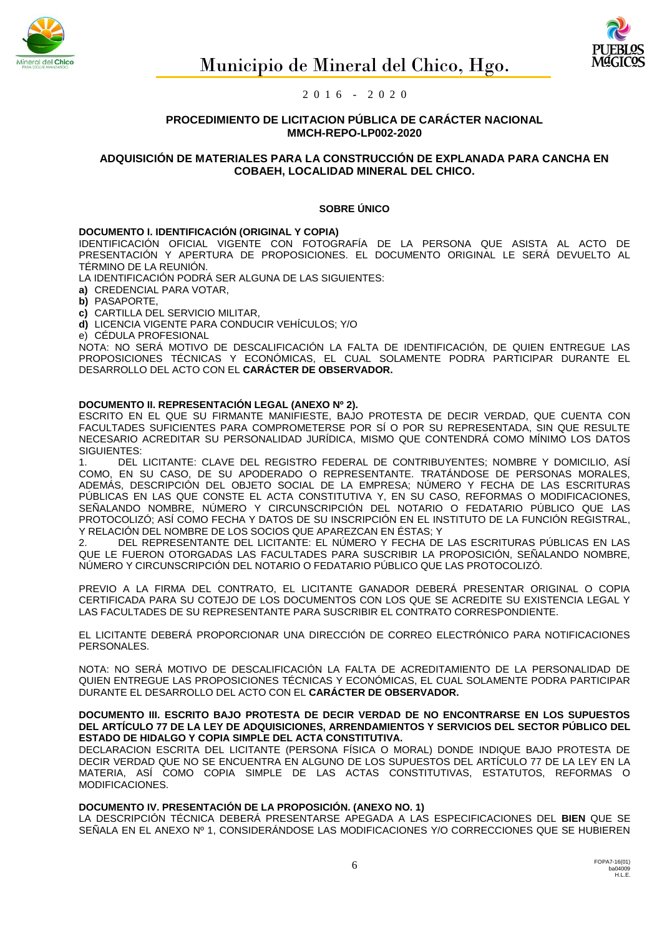



## **PROCEDIMIENTO DE LICITACION PÚBLICA DE CARÁCTER NACIONAL MMCH-REPO-LP002-2020**

## **ADQUISICIÓN DE MATERIALES PARA LA CONSTRUCCIÓN DE EXPLANADA PARA CANCHA EN COBAEH, LOCALIDAD MINERAL DEL CHICO.**

## **SOBRE ÚNICO**

#### **DOCUMENTO I. IDENTIFICACIÓN (ORIGINAL Y COPIA)**

IDENTIFICACIÓN OFICIAL VIGENTE CON FOTOGRAFÍA DE LA PERSONA QUE ASISTA AL ACTO DE PRESENTACIÓN Y APERTURA DE PROPOSICIONES. EL DOCUMENTO ORIGINAL LE SERÁ DEVUELTO AL TÉRMINO DE LA REUNIÓN.

LA IDENTIFICACIÓN PODRÁ SER ALGUNA DE LAS SIGUIENTES:

**a)** CREDENCIAL PARA VOTAR,

**b)** PASAPORTE,

**c)** CARTILLA DEL SERVICIO MILITAR,

**d)** LICENCIA VIGENTE PARA CONDUCIR VEHÍCULOS; Y/O

e) CÉDULA PROFESIONAL

NOTA: NO SERÁ MOTIVO DE DESCALIFICACIÓN LA FALTA DE IDENTIFICACIÓN, DE QUIEN ENTREGUE LAS PROPOSICIONES TÉCNICAS Y ECONÓMICAS, EL CUAL SOLAMENTE PODRA PARTICIPAR DURANTE EL DESARROLLO DEL ACTO CON EL **CARÁCTER DE OBSERVADOR.**

#### **DOCUMENTO II. REPRESENTACIÓN LEGAL (ANEXO Nº 2).**

ESCRITO EN EL QUE SU FIRMANTE MANIFIESTE, BAJO PROTESTA DE DECIR VERDAD, QUE CUENTA CON FACULTADES SUFICIENTES PARA COMPROMETERSE POR SÍ O POR SU REPRESENTADA, SIN QUE RESULTE NECESARIO ACREDITAR SU PERSONALIDAD JURÍDICA, MISMO QUE CONTENDRÁ COMO MÍNIMO LOS DATOS SIGUIENTES:

1. DEL LICITANTE: CLAVE DEL REGISTRO FEDERAL DE CONTRIBUYENTES; NOMBRE Y DOMICILIO, ASÍ COMO, EN SU CASO, DE SU APODERADO O REPRESENTANTE. TRATÁNDOSE DE PERSONAS MORALES, ADEMÁS, DESCRIPCIÓN DEL OBJETO SOCIAL DE LA EMPRESA; NÚMERO Y FECHA DE LAS ESCRITURAS PÚBLICAS EN LAS QUE CONSTE EL ACTA CONSTITUTIVA Y, EN SU CASO, REFORMAS O MODIFICACIONES, SEÑALANDO NOMBRE, NÚMERO Y CIRCUNSCRIPCIÓN DEL NOTARIO O FEDATARIO PÚBLICO QUE LAS PROTOCOLIZÓ; ASÍ COMO FECHA Y DATOS DE SU INSCRIPCIÓN EN EL INSTITUTO DE LA FUNCIÓN REGISTRAL, Y RELACIÓN DEL NOMBRE DE LOS SOCIOS QUE APAREZCAN EN ÉSTAS; Y

2. DEL REPRESENTANTE DEL LICITANTE: EL NÚMERO Y FECHA DE LAS ESCRITURAS PÚBLICAS EN LAS QUE LE FUERON OTORGADAS LAS FACULTADES PARA SUSCRIBIR LA PROPOSICIÓN, SEÑALANDO NOMBRE, NÚMERO Y CIRCUNSCRIPCIÓN DEL NOTARIO O FEDATARIO PÚBLICO QUE LAS PROTOCOLIZÓ.

PREVIO A LA FIRMA DEL CONTRATO, EL LICITANTE GANADOR DEBERÁ PRESENTAR ORIGINAL O COPIA CERTIFICADA PARA SU COTEJO DE LOS DOCUMENTOS CON LOS QUE SE ACREDITE SU EXISTENCIA LEGAL Y LAS FACULTADES DE SU REPRESENTANTE PARA SUSCRIBIR EL CONTRATO CORRESPONDIENTE.

EL LICITANTE DEBERÁ PROPORCIONAR UNA DIRECCIÓN DE CORREO ELECTRÓNICO PARA NOTIFICACIONES PERSONALES.

NOTA: NO SERÁ MOTIVO DE DESCALIFICACIÓN LA FALTA DE ACREDITAMIENTO DE LA PERSONALIDAD DE QUIEN ENTREGUE LAS PROPOSICIONES TÉCNICAS Y ECONÓMICAS, EL CUAL SOLAMENTE PODRA PARTICIPAR DURANTE EL DESARROLLO DEL ACTO CON EL **CARÁCTER DE OBSERVADOR.**

#### **DOCUMENTO III. ESCRITO BAJO PROTESTA DE DECIR VERDAD DE NO ENCONTRARSE EN LOS SUPUESTOS DEL ARTÍCULO 77 DE LA LEY DE ADQUISICIONES, ARRENDAMIENTOS Y SERVICIOS DEL SECTOR PÚBLICO DEL ESTADO DE HIDALGO Y COPIA SIMPLE DEL ACTA CONSTITUTIVA.**

DECLARACION ESCRITA DEL LICITANTE (PERSONA FÍSICA O MORAL) DONDE INDIQUE BAJO PROTESTA DE DECIR VERDAD QUE NO SE ENCUENTRA EN ALGUNO DE LOS SUPUESTOS DEL ARTÍCULO 77 DE LA LEY EN LA MATERIA, ASÍ COMO COPIA SIMPLE DE LAS ACTAS CONSTITUTIVAS, ESTATUTOS, REFORMAS O MODIFICACIONES.

## **DOCUMENTO IV. PRESENTACIÓN DE LA PROPOSICIÓN. (ANEXO NO. 1)**

LA DESCRIPCIÓN TÉCNICA DEBERÁ PRESENTARSE APEGADA A LAS ESPECIFICACIONES DEL **BIEN** QUE SE SEÑALA EN EL ANEXO Nº 1, CONSIDERÁNDOSE LAS MODIFICACIONES Y/O CORRECCIONES QUE SE HUBIEREN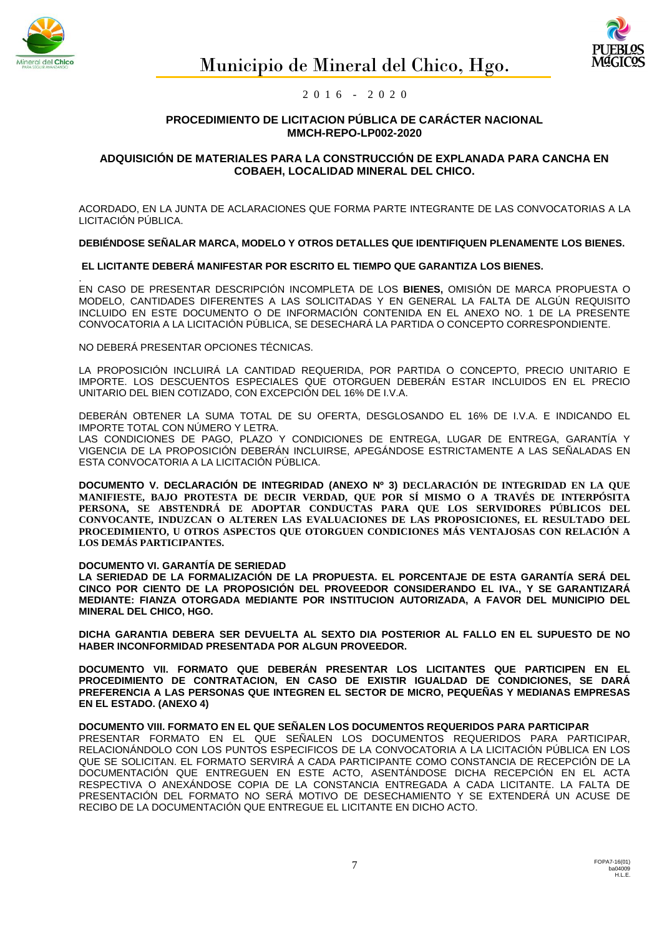



## **PROCEDIMIENTO DE LICITACION PÚBLICA DE CARÁCTER NACIONAL MMCH-REPO-LP002-2020**

## **ADQUISICIÓN DE MATERIALES PARA LA CONSTRUCCIÓN DE EXPLANADA PARA CANCHA EN COBAEH, LOCALIDAD MINERAL DEL CHICO.**

ACORDADO, EN LA JUNTA DE ACLARACIONES QUE FORMA PARTE INTEGRANTE DE LAS CONVOCATORIAS A LA LICITACIÓN PÚBLICA.

**DEBIÉNDOSE SEÑALAR MARCA, MODELO Y OTROS DETALLES QUE IDENTIFIQUEN PLENAMENTE LOS BIENES.**

## **EL LICITANTE DEBERÁ MANIFESTAR POR ESCRITO EL TIEMPO QUE GARANTIZA LOS BIENES.**

. EN CASO DE PRESENTAR DESCRIPCIÓN INCOMPLETA DE LOS **BIENES,** OMISIÓN DE MARCA PROPUESTA O MODELO, CANTIDADES DIFERENTES A LAS SOLICITADAS Y EN GENERAL LA FALTA DE ALGÚN REQUISITO INCLUIDO EN ESTE DOCUMENTO O DE INFORMACIÓN CONTENIDA EN EL ANEXO NO. 1 DE LA PRESENTE CONVOCATORIA A LA LICITACIÓN PÚBLICA, SE DESECHARÁ LA PARTIDA O CONCEPTO CORRESPONDIENTE.

NO DEBERÁ PRESENTAR OPCIONES TÉCNICAS.

LA PROPOSICIÓN INCLUIRÁ LA CANTIDAD REQUERIDA, POR PARTIDA O CONCEPTO, PRECIO UNITARIO E IMPORTE. LOS DESCUENTOS ESPECIALES QUE OTORGUEN DEBERÁN ESTAR INCLUIDOS EN EL PRECIO UNITARIO DEL BIEN COTIZADO, CON EXCEPCIÓN DEL 16% DE I.V.A.

DEBERÁN OBTENER LA SUMA TOTAL DE SU OFERTA, DESGLOSANDO EL 16% DE I.V.A. E INDICANDO EL IMPORTE TOTAL CON NÚMERO Y LETRA.

LAS CONDICIONES DE PAGO, PLAZO Y CONDICIONES DE ENTREGA, LUGAR DE ENTREGA, GARANTÍA Y VIGENCIA DE LA PROPOSICIÓN DEBERÁN INCLUIRSE, APEGÁNDOSE ESTRICTAMENTE A LAS SEÑALADAS EN ESTA CONVOCATORIA A LA LICITACIÓN PÚBLICA.

**DOCUMENTO V. DECLARACIÓN DE INTEGRIDAD (ANEXO Nº 3) DECLARACIÓN DE INTEGRIDAD EN LA QUE MANIFIESTE, BAJO PROTESTA DE DECIR VERDAD, QUE POR SÍ MISMO O A TRAVÉS DE INTERPÓSITA PERSONA, SE ABSTENDRÁ DE ADOPTAR CONDUCTAS PARA QUE LOS SERVIDORES PÚBLICOS DEL CONVOCANTE, INDUZCAN O ALTEREN LAS EVALUACIONES DE LAS PROPOSICIONES, EL RESULTADO DEL PROCEDIMIENTO, U OTROS ASPECTOS QUE OTORGUEN CONDICIONES MÁS VENTAJOSAS CON RELACIÓN A LOS DEMÁS PARTICIPANTES.**

#### **DOCUMENTO VI. GARANTÍA DE SERIEDAD**

**LA SERIEDAD DE LA FORMALIZACIÓN DE LA PROPUESTA. EL PORCENTAJE DE ESTA GARANTÍA SERÁ DEL CINCO POR CIENTO DE LA PROPOSICIÓN DEL PROVEEDOR CONSIDERANDO EL IVA., Y SE GARANTIZARÁ MEDIANTE: FIANZA OTORGADA MEDIANTE POR INSTITUCION AUTORIZADA, A FAVOR DEL MUNICIPIO DEL MINERAL DEL CHICO, HGO.**

**DICHA GARANTIA DEBERA SER DEVUELTA AL SEXTO DIA POSTERIOR AL FALLO EN EL SUPUESTO DE NO HABER INCONFORMIDAD PRESENTADA POR ALGUN PROVEEDOR.**

**DOCUMENTO VII. FORMATO QUE DEBERÁN PRESENTAR LOS LICITANTES QUE PARTICIPEN EN EL PROCEDIMIENTO DE CONTRATACION, EN CASO DE EXISTIR IGUALDAD DE CONDICIONES, SE DARÁ PREFERENCIA A LAS PERSONAS QUE INTEGREN EL SECTOR DE MICRO, PEQUEÑAS Y MEDIANAS EMPRESAS EN EL ESTADO. (ANEXO 4)**

#### **DOCUMENTO VIII. FORMATO EN EL QUE SEÑALEN LOS DOCUMENTOS REQUERIDOS PARA PARTICIPAR**

PRESENTAR FORMATO EN EL QUE SEÑALEN LOS DOCUMENTOS REQUERIDOS PARA PARTICIPAR, RELACIONÁNDOLO CON LOS PUNTOS ESPECIFICOS DE LA CONVOCATORIA A LA LICITACIÓN PÚBLICA EN LOS QUE SE SOLICITAN. EL FORMATO SERVIRÁ A CADA PARTICIPANTE COMO CONSTANCIA DE RECEPCIÓN DE LA DOCUMENTACIÓN QUE ENTREGUEN EN ESTE ACTO, ASENTÁNDOSE DICHA RECEPCIÓN EN EL ACTA RESPECTIVA O ANEXÁNDOSE COPIA DE LA CONSTANCIA ENTREGADA A CADA LICITANTE. LA FALTA DE PRESENTACIÓN DEL FORMATO NO SERÁ MOTIVO DE DESECHAMIENTO Y SE EXTENDERÁ UN ACUSE DE RECIBO DE LA DOCUMENTACIÓN QUE ENTREGUE EL LICITANTE EN DICHO ACTO.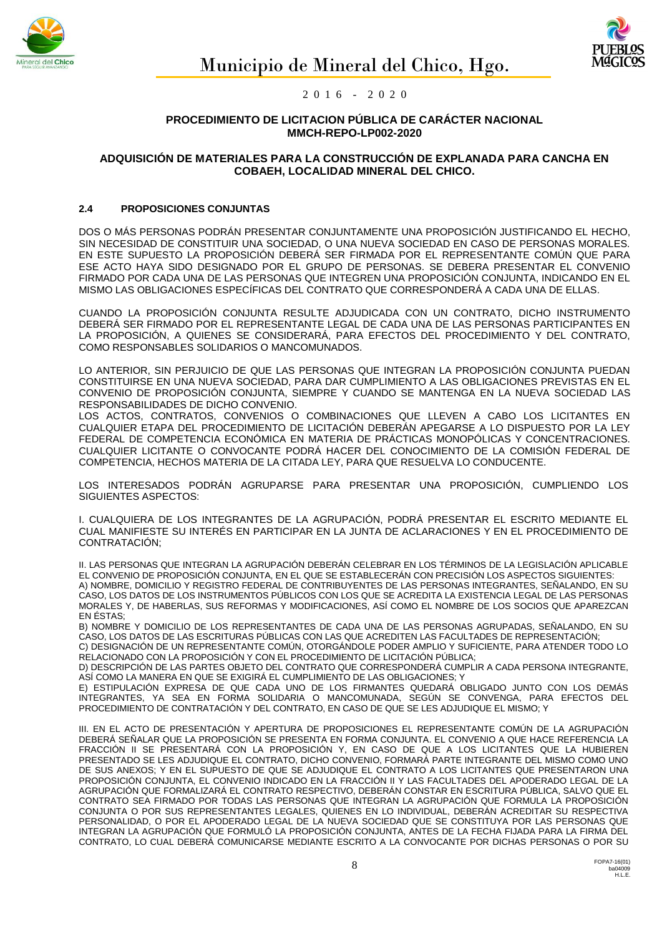



## **PROCEDIMIENTO DE LICITACION PÚBLICA DE CARÁCTER NACIONAL MMCH-REPO-LP002-2020**

## **ADQUISICIÓN DE MATERIALES PARA LA CONSTRUCCIÓN DE EXPLANADA PARA CANCHA EN COBAEH, LOCALIDAD MINERAL DEL CHICO.**

## **2.4 PROPOSICIONES CONJUNTAS**

DOS O MÁS PERSONAS PODRÁN PRESENTAR CONJUNTAMENTE UNA PROPOSICIÓN JUSTIFICANDO EL HECHO, SIN NECESIDAD DE CONSTITUIR UNA SOCIEDAD, O UNA NUEVA SOCIEDAD EN CASO DE PERSONAS MORALES. EN ESTE SUPUESTO LA PROPOSICIÓN DEBERÁ SER FIRMADA POR EL REPRESENTANTE COMÚN QUE PARA ESE ACTO HAYA SIDO DESIGNADO POR EL GRUPO DE PERSONAS. SE DEBERA PRESENTAR EL CONVENIO FIRMADO POR CADA UNA DE LAS PERSONAS QUE INTEGREN UNA PROPOSICIÓN CONJUNTA, INDICANDO EN EL MISMO LAS OBLIGACIONES ESPECÍFICAS DEL CONTRATO QUE CORRESPONDERÁ A CADA UNA DE ELLAS.

CUANDO LA PROPOSICIÓN CONJUNTA RESULTE ADJUDICADA CON UN CONTRATO, DICHO INSTRUMENTO DEBERÁ SER FIRMADO POR EL REPRESENTANTE LEGAL DE CADA UNA DE LAS PERSONAS PARTICIPANTES EN LA PROPOSICIÓN, A QUIENES SE CONSIDERARÁ, PARA EFECTOS DEL PROCEDIMIENTO Y DEL CONTRATO, COMO RESPONSABLES SOLIDARIOS O MANCOMUNADOS.

LO ANTERIOR, SIN PERJUICIO DE QUE LAS PERSONAS QUE INTEGRAN LA PROPOSICIÓN CONJUNTA PUEDAN CONSTITUIRSE EN UNA NUEVA SOCIEDAD, PARA DAR CUMPLIMIENTO A LAS OBLIGACIONES PREVISTAS EN EL CONVENIO DE PROPOSICIÓN CONJUNTA, SIEMPRE Y CUANDO SE MANTENGA EN LA NUEVA SOCIEDAD LAS RESPONSABILIDADES DE DICHO CONVENIO.

LOS ACTOS, CONTRATOS, CONVENIOS O COMBINACIONES QUE LLEVEN A CABO LOS LICITANTES EN CUALQUIER ETAPA DEL PROCEDIMIENTO DE LICITACIÓN DEBERÁN APEGARSE A LO DISPUESTO POR LA LEY FEDERAL DE COMPETENCIA ECONÓMICA EN MATERIA DE PRÁCTICAS MONOPÓLICAS Y CONCENTRACIONES. CUALQUIER LICITANTE O CONVOCANTE PODRÁ HACER DEL CONOCIMIENTO DE LA COMISIÓN FEDERAL DE COMPETENCIA, HECHOS MATERIA DE LA CITADA LEY, PARA QUE RESUELVA LO CONDUCENTE.

LOS INTERESADOS PODRÁN AGRUPARSE PARA PRESENTAR UNA PROPOSICIÓN, CUMPLIENDO LOS SIGUIENTES ASPECTOS:

I. CUALQUIERA DE LOS INTEGRANTES DE LA AGRUPACIÓN, PODRÁ PRESENTAR EL ESCRITO MEDIANTE EL CUAL MANIFIESTE SU INTERÉS EN PARTICIPAR EN LA JUNTA DE ACLARACIONES Y EN EL PROCEDIMIENTO DE CONTRATACIÓN;

II. LAS PERSONAS QUE INTEGRAN LA AGRUPACIÓN DEBERÁN CELEBRAR EN LOS TÉRMINOS DE LA LEGISLACIÓN APLICABLE EL CONVENIO DE PROPOSICIÓN CONJUNTA, EN EL QUE SE ESTABLECERÁN CON PRECISIÓN LOS ASPECTOS SIGUIENTES: A) NOMBRE, DOMICILIO Y REGISTRO FEDERAL DE CONTRIBUYENTES DE LAS PERSONAS INTEGRANTES, SEÑALANDO, EN SU CASO, LOS DATOS DE LOS INSTRUMENTOS PÚBLICOS CON LOS QUE SE ACREDITA LA EXISTENCIA LEGAL DE LAS PERSONAS MORALES Y, DE HABERLAS, SUS REFORMAS Y MODIFICACIONES, ASÍ COMO EL NOMBRE DE LOS SOCIOS QUE APAREZCAN EN ÉSTAS;

B) NOMBRE Y DOMICILIO DE LOS REPRESENTANTES DE CADA UNA DE LAS PERSONAS AGRUPADAS, SEÑALANDO, EN SU CASO, LOS DATOS DE LAS ESCRITURAS PÚBLICAS CON LAS QUE ACREDITEN LAS FACULTADES DE REPRESENTACIÓN;

C) DESIGNACIÓN DE UN REPRESENTANTE COMÚN, OTORGÁNDOLE PODER AMPLIO Y SUFICIENTE, PARA ATENDER TODO LO RELACIONADO CON LA PROPOSICIÓN Y CON EL PROCEDIMIENTO DE LICITACIÓN PÚBLICA;

D) DESCRIPCIÓN DE LAS PARTES OBJETO DEL CONTRATO QUE CORRESPONDERÁ CUMPLIR A CADA PERSONA INTEGRANTE, ASÍ COMO LA MANERA EN QUE SE EXIGIRÁ EL CUMPLIMIENTO DE LAS OBLIGACIONES; Y

E) ESTIPULACIÓN EXPRESA DE QUE CADA UNO DE LOS FIRMANTES QUEDARÁ OBLIGADO JUNTO CON LOS DEMÁS INTEGRANTES, YA SEA EN FORMA SOLIDARIA O MANCOMUNADA, SEGÚN SE CONVENGA, PARA EFECTOS DEL PROCEDIMIENTO DE CONTRATACIÓN Y DEL CONTRATO, EN CASO DE QUE SE LES ADJUDIQUE EL MISMO; Y

III. EN EL ACTO DE PRESENTACIÓN Y APERTURA DE PROPOSICIONES EL REPRESENTANTE COMÚN DE LA AGRUPACIÓN DEBERÁ SEÑALAR QUE LA PROPOSICIÓN SE PRESENTA EN FORMA CONJUNTA. EL CONVENIO A QUE HACE REFERENCIA LA FRACCIÓN II SE PRESENTARÁ CON LA PROPOSICIÓN Y, EN CASO DE QUE A LOS LICITANTES QUE LA HUBIEREN PRESENTADO SE LES ADJUDIQUE EL CONTRATO, DICHO CONVENIO, FORMARÁ PARTE INTEGRANTE DEL MISMO COMO UNO DE SUS ANEXOS; Y EN EL SUPUESTO DE QUE SE ADJUDIQUE EL CONTRATO A LOS LICITANTES QUE PRESENTARON UNA PROPOSICIÓN CONJUNTA, EL CONVENIO INDICADO EN LA FRACCIÓN II Y LAS FACULTADES DEL APODERADO LEGAL DE LA AGRUPACIÓN QUE FORMALIZARÁ EL CONTRATO RESPECTIVO, DEBERÁN CONSTAR EN ESCRITURA PÚBLICA, SALVO QUE EL CONTRATO SEA FIRMADO POR TODAS LAS PERSONAS QUE INTEGRAN LA AGRUPACIÓN QUE FORMULA LA PROPOSICIÓN CONJUNTA O POR SUS REPRESENTANTES LEGALES, QUIENES EN LO INDIVIDUAL, DEBERÁN ACREDITAR SU RESPECTIVA PERSONALIDAD, O POR EL APODERADO LEGAL DE LA NUEVA SOCIEDAD QUE SE CONSTITUYA POR LAS PERSONAS QUE INTEGRAN LA AGRUPACIÓN QUE FORMULÓ LA PROPOSICIÓN CONJUNTA, ANTES DE LA FECHA FIJADA PARA LA FIRMA DEL CONTRATO, LO CUAL DEBERÁ COMUNICARSE MEDIANTE ESCRITO A LA CONVOCANTE POR DICHAS PERSONAS O POR SU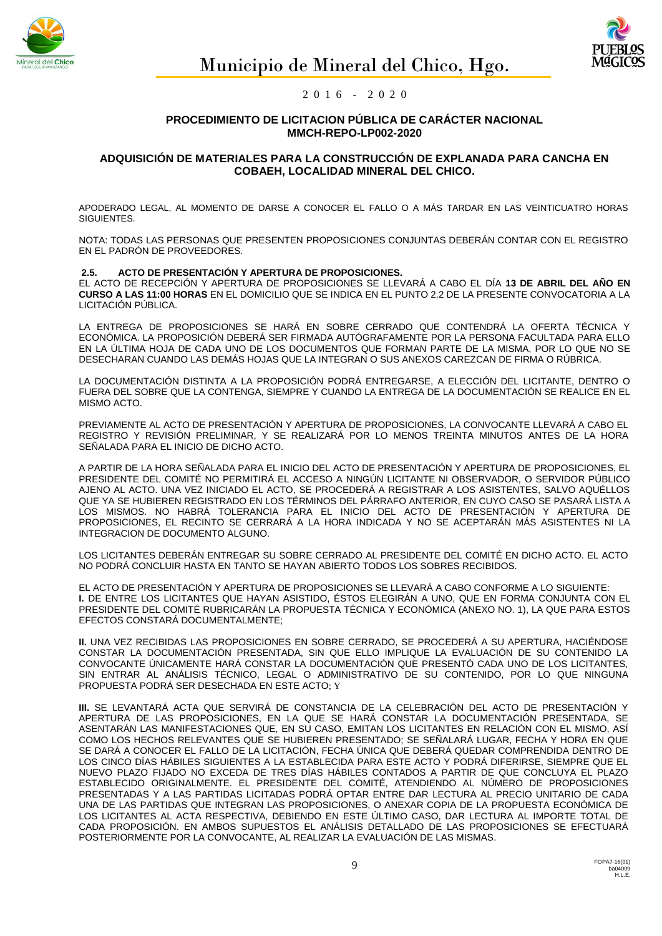



## **PROCEDIMIENTO DE LICITACION PÚBLICA DE CARÁCTER NACIONAL MMCH-REPO-LP002-2020**

#### **ADQUISICIÓN DE MATERIALES PARA LA CONSTRUCCIÓN DE EXPLANADA PARA CANCHA EN COBAEH, LOCALIDAD MINERAL DEL CHICO.**

APODERADO LEGAL, AL MOMENTO DE DARSE A CONOCER EL FALLO O A MÁS TARDAR EN LAS VEINTICUATRO HORAS SIGUIENTES.

NOTA: TODAS LAS PERSONAS QUE PRESENTEN PROPOSICIONES CONJUNTAS DEBERÁN CONTAR CON EL REGISTRO EN EL PADRÓN DE PROVEEDORES.

#### **2.5. ACTO DE PRESENTACIÓN Y APERTURA DE PROPOSICIONES.**

EL ACTO DE RECEPCIÓN Y APERTURA DE PROPOSICIONES SE LLEVARÁ A CABO EL DÍA **13 DE ABRIL DEL AÑO EN CURSO A LAS 11:00 HORAS** EN EL DOMICILIO QUE SE INDICA EN EL PUNTO 2.2 DE LA PRESENTE CONVOCATORIA A LA LICITACIÓN PÚBLICA.

LA ENTREGA DE PROPOSICIONES SE HARÁ EN SOBRE CERRADO QUE CONTENDRÁ LA OFERTA TÉCNICA Y ECONÓMICA. LA PROPOSICIÓN DEBERÁ SER FIRMADA AUTÓGRAFAMENTE POR LA PERSONA FACULTADA PARA ELLO EN LA ÚLTIMA HOJA DE CADA UNO DE LOS DOCUMENTOS QUE FORMAN PARTE DE LA MISMA, POR LO QUE NO SE DESECHARAN CUANDO LAS DEMÁS HOJAS QUE LA INTEGRAN O SUS ANEXOS CAREZCAN DE FIRMA O RÚBRICA.

LA DOCUMENTACIÓN DISTINTA A LA PROPOSICIÓN PODRÁ ENTREGARSE, A ELECCIÓN DEL LICITANTE, DENTRO O FUERA DEL SOBRE QUE LA CONTENGA, SIEMPRE Y CUANDO LA ENTREGA DE LA DOCUMENTACIÓN SE REALICE EN EL MISMO ACTO.

PREVIAMENTE AL ACTO DE PRESENTACIÓN Y APERTURA DE PROPOSICIONES, LA CONVOCANTE LLEVARÁ A CABO EL REGISTRO Y REVISIÓN PRELIMINAR, Y SE REALIZARÁ POR LO MENOS TREINTA MINUTOS ANTES DE LA HORA SEÑALADA PARA EL INICIO DE DICHO ACTO.

A PARTIR DE LA HORA SEÑALADA PARA EL INICIO DEL ACTO DE PRESENTACIÓN Y APERTURA DE PROPOSICIONES, EL PRESIDENTE DEL COMITÉ NO PERMITIRÁ EL ACCESO A NINGÚN LICITANTE NI OBSERVADOR, O SERVIDOR PÚBLICO AJENO AL ACTO. UNA VEZ INICIADO EL ACTO, SE PROCEDERÁ A REGISTRAR A LOS ASISTENTES, SALVO AQUÉLLOS QUE YA SE HUBIEREN REGISTRADO EN LOS TÉRMINOS DEL PÁRRAFO ANTERIOR, EN CUYO CASO SE PASARÁ LISTA A LOS MISMOS. NO HABRÁ TOLERANCIA PARA EL INICIO DEL ACTO DE PRESENTACIÓN Y APERTURA DE PROPOSICIONES, EL RECINTO SE CERRARÁ A LA HORA INDICADA Y NO SE ACEPTARÁN MÁS ASISTENTES NI LA INTEGRACION DE DOCUMENTO ALGUNO.

LOS LICITANTES DEBERÁN ENTREGAR SU SOBRE CERRADO AL PRESIDENTE DEL COMITÉ EN DICHO ACTO. EL ACTO NO PODRÁ CONCLUIR HASTA EN TANTO SE HAYAN ABIERTO TODOS LOS SOBRES RECIBIDOS.

EL ACTO DE PRESENTACIÓN Y APERTURA DE PROPOSICIONES SE LLEVARÁ A CABO CONFORME A LO SIGUIENTE: **I.** DE ENTRE LOS LICITANTES QUE HAYAN ASISTIDO, ÉSTOS ELEGIRÁN A UNO, QUE EN FORMA CONJUNTA CON EL PRESIDENTE DEL COMITÉ RUBRICARÁN LA PROPUESTA TÉCNICA Y ECONÓMICA (ANEXO NO. 1), LA QUE PARA ESTOS EFECTOS CONSTARÁ DOCUMENTALMENTE;

**II.** UNA VEZ RECIBIDAS LAS PROPOSICIONES EN SOBRE CERRADO, SE PROCEDERÁ A SU APERTURA, HACIÉNDOSE CONSTAR LA DOCUMENTACIÓN PRESENTADA, SIN QUE ELLO IMPLIQUE LA EVALUACIÓN DE SU CONTENIDO LA CONVOCANTE ÚNICAMENTE HARÁ CONSTAR LA DOCUMENTACIÓN QUE PRESENTÓ CADA UNO DE LOS LICITANTES, SIN ENTRAR AL ANÁLISIS TÉCNICO, LEGAL O ADMINISTRATIVO DE SU CONTENIDO, POR LO QUE NINGUNA PROPUESTA PODRÁ SER DESECHADA EN ESTE ACTO; Y

**III.** SE LEVANTARÁ ACTA QUE SERVIRÁ DE CONSTANCIA DE LA CELEBRACIÓN DEL ACTO DE PRESENTACIÓN Y APERTURA DE LAS PROPOSICIONES, EN LA QUE SE HARÁ CONSTAR LA DOCUMENTACIÓN PRESENTADA, SE ASENTARÁN LAS MANIFESTACIONES QUE, EN SU CASO, EMITAN LOS LICITANTES EN RELACIÓN CON EL MISMO, ASÍ COMO LOS HECHOS RELEVANTES QUE SE HUBIEREN PRESENTADO; SE SEÑALARÁ LUGAR, FECHA Y HORA EN QUE SE DARÁ A CONOCER EL FALLO DE LA LICITACIÓN, FECHA ÚNICA QUE DEBERÁ QUEDAR COMPRENDIDA DENTRO DE LOS CINCO DÍAS HÁBILES SIGUIENTES A LA ESTABLECIDA PARA ESTE ACTO Y PODRÁ DIFERIRSE, SIEMPRE QUE EL NUEVO PLAZO FIJADO NO EXCEDA DE TRES DÍAS HÁBILES CONTADOS A PARTIR DE QUE CONCLUYA EL PLAZO ESTABLECIDO ORIGINALMENTE. EL PRESIDENTE DEL COMITÉ, ATENDIENDO AL NÚMERO DE PROPOSICIONES PRESENTADAS Y A LAS PARTIDAS LICITADAS PODRÁ OPTAR ENTRE DAR LECTURA AL PRECIO UNITARIO DE CADA UNA DE LAS PARTIDAS QUE INTEGRAN LAS PROPOSICIONES, O ANEXAR COPIA DE LA PROPUESTA ECONÓMICA DE LOS LICITANTES AL ACTA RESPECTIVA, DEBIENDO EN ESTE ÚLTIMO CASO, DAR LECTURA AL IMPORTE TOTAL DE CADA PROPOSICIÓN. EN AMBOS SUPUESTOS EL ANÁLISIS DETALLADO DE LAS PROPOSICIONES SE EFECTUARÁ POSTERIORMENTE POR LA CONVOCANTE, AL REALIZAR LA EVALUACIÓN DE LAS MISMAS.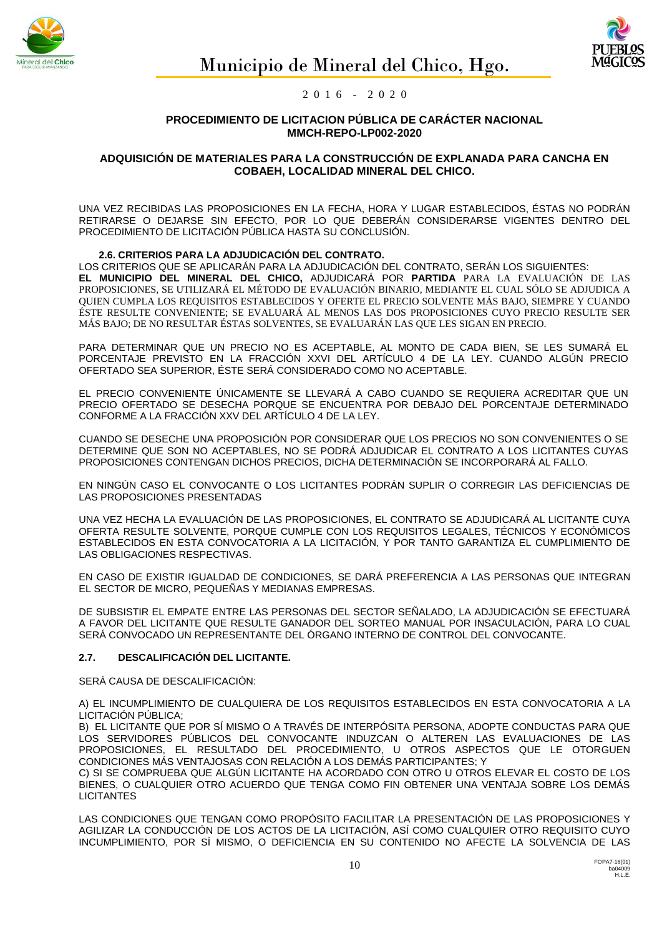



## **PROCEDIMIENTO DE LICITACION PÚBLICA DE CARÁCTER NACIONAL MMCH-REPO-LP002-2020**

## **ADQUISICIÓN DE MATERIALES PARA LA CONSTRUCCIÓN DE EXPLANADA PARA CANCHA EN COBAEH, LOCALIDAD MINERAL DEL CHICO.**

UNA VEZ RECIBIDAS LAS PROPOSICIONES EN LA FECHA, HORA Y LUGAR ESTABLECIDOS, ÉSTAS NO PODRÁN RETIRARSE O DEJARSE SIN EFECTO, POR LO QUE DEBERÁN CONSIDERARSE VIGENTES DENTRO DEL PROCEDIMIENTO DE LICITACIÓN PÚBLICA HASTA SU CONCLUSIÓN.

## **2.6. CRITERIOS PARA LA ADJUDICACIÓN DEL CONTRATO.**

LOS CRITERIOS QUE SE APLICARÁN PARA LA ADJUDICACIÓN DEL CONTRATO, SERÁN LOS SIGUIENTES: **EL MUNICIPIO DEL MINERAL DEL CHICO,** ADJUDICARÁ POR **PARTIDA** PARA LA EVALUACIÓN DE LAS PROPOSICIONES, SE UTILIZARÁ EL MÉTODO DE EVALUACIÓN BINARIO, MEDIANTE EL CUAL SÓLO SE ADJUDICA A QUIEN CUMPLA LOS REQUISITOS ESTABLECIDOS Y OFERTE EL PRECIO SOLVENTE MÁS BAJO, SIEMPRE Y CUANDO ÉSTE RESULTE CONVENIENTE; SE EVALUARÁ AL MENOS LAS DOS PROPOSICIONES CUYO PRECIO RESULTE SER MÁS BAJO; DE NO RESULTAR ÉSTAS SOLVENTES, SE EVALUARÁN LAS QUE LES SIGAN EN PRECIO.

PARA DETERMINAR QUE UN PRECIO NO ES ACEPTABLE, AL MONTO DE CADA BIEN, SE LES SUMARÁ EL PORCENTAJE PREVISTO EN LA FRACCIÓN XXVI DEL ARTÍCULO 4 DE LA LEY. CUANDO ALGÚN PRECIO OFERTADO SEA SUPERIOR, ÉSTE SERÁ CONSIDERADO COMO NO ACEPTABLE.

EL PRECIO CONVENIENTE ÚNICAMENTE SE LLEVARÁ A CABO CUANDO SE REQUIERA ACREDITAR QUE UN PRECIO OFERTADO SE DESECHA PORQUE SE ENCUENTRA POR DEBAJO DEL PORCENTAJE DETERMINADO CONFORME A LA FRACCIÓN XXV DEL ARTÍCULO 4 DE LA LEY.

CUANDO SE DESECHE UNA PROPOSICIÓN POR CONSIDERAR QUE LOS PRECIOS NO SON CONVENIENTES O SE DETERMINE QUE SON NO ACEPTABLES, NO SE PODRÁ ADJUDICAR EL CONTRATO A LOS LICITANTES CUYAS PROPOSICIONES CONTENGAN DICHOS PRECIOS, DICHA DETERMINACIÓN SE INCORPORARÁ AL FALLO.

EN NINGÚN CASO EL CONVOCANTE O LOS LICITANTES PODRÁN SUPLIR O CORREGIR LAS DEFICIENCIAS DE LAS PROPOSICIONES PRESENTADAS

UNA VEZ HECHA LA EVALUACIÓN DE LAS PROPOSICIONES, EL CONTRATO SE ADJUDICARÁ AL LICITANTE CUYA OFERTA RESULTE SOLVENTE, PORQUE CUMPLE CON LOS REQUISITOS LEGALES, TÉCNICOS Y ECONÓMICOS ESTABLECIDOS EN ESTA CONVOCATORIA A LA LICITACIÓN, Y POR TANTO GARANTIZA EL CUMPLIMIENTO DE LAS OBLIGACIONES RESPECTIVAS.

EN CASO DE EXISTIR IGUALDAD DE CONDICIONES, SE DARÁ PREFERENCIA A LAS PERSONAS QUE INTEGRAN EL SECTOR DE MICRO, PEQUEÑAS Y MEDIANAS EMPRESAS.

DE SUBSISTIR EL EMPATE ENTRE LAS PERSONAS DEL SECTOR SEÑALADO, LA ADJUDICACIÓN SE EFECTUARÁ A FAVOR DEL LICITANTE QUE RESULTE GANADOR DEL SORTEO MANUAL POR INSACULACIÓN, PARA LO CUAL SERÁ CONVOCADO UN REPRESENTANTE DEL ÓRGANO INTERNO DE CONTROL DEL CONVOCANTE.

# **2.7. DESCALIFICACIÓN DEL LICITANTE.**

SERÁ CAUSA DE DESCALIFICACIÓN:

A) EL INCUMPLIMIENTO DE CUALQUIERA DE LOS REQUISITOS ESTABLECIDOS EN ESTA CONVOCATORIA A LA LICITACIÓN PÚBLICA;

B) EL LICITANTE QUE POR SÍ MISMO O A TRAVÉS DE INTERPÓSITA PERSONA, ADOPTE CONDUCTAS PARA QUE LOS SERVIDORES PÚBLICOS DEL CONVOCANTE INDUZCAN O ALTEREN LAS EVALUACIONES DE LAS PROPOSICIONES, EL RESULTADO DEL PROCEDIMIENTO, U OTROS ASPECTOS QUE LE OTORGUEN CONDICIONES MÁS VENTAJOSAS CON RELACIÓN A LOS DEMÁS PARTICIPANTES; Y

C) SI SE COMPRUEBA QUE ALGÚN LICITANTE HA ACORDADO CON OTRO U OTROS ELEVAR EL COSTO DE LOS BIENES, O CUALQUIER OTRO ACUERDO QUE TENGA COMO FIN OBTENER UNA VENTAJA SOBRE LOS DEMÁS **LICITANTES** 

LAS CONDICIONES QUE TENGAN COMO PROPÓSITO FACILITAR LA PRESENTACIÓN DE LAS PROPOSICIONES Y AGILIZAR LA CONDUCCIÓN DE LOS ACTOS DE LA LICITACIÓN, ASÍ COMO CUALQUIER OTRO REQUISITO CUYO INCUMPLIMIENTO, POR SÍ MISMO, O DEFICIENCIA EN SU CONTENIDO NO AFECTE LA SOLVENCIA DE LAS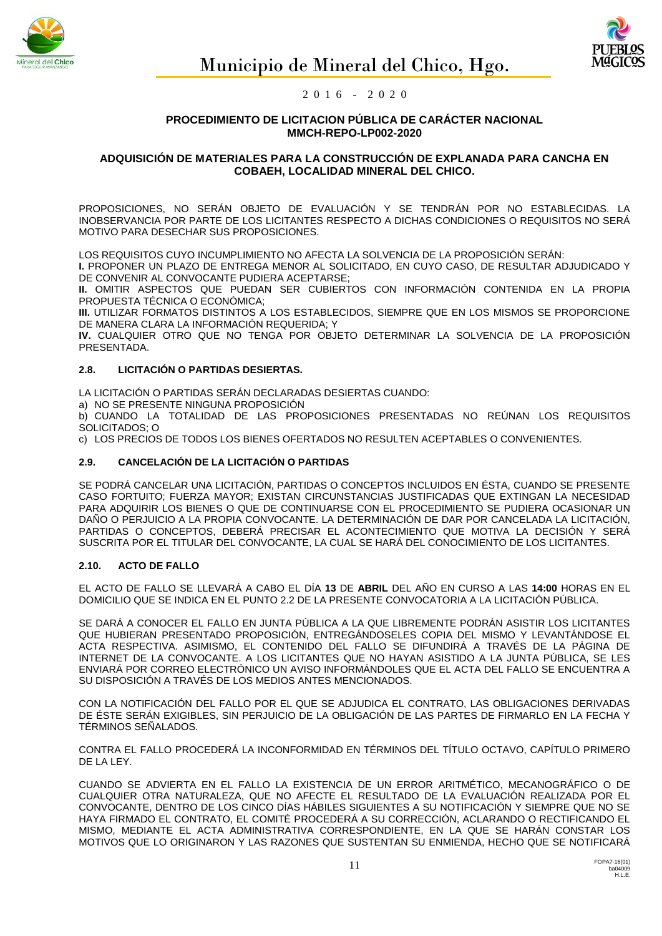



**PROCEDIMIENTO DE LICITACION PÚBLICA DE CARÁCTER NACIONAL MMCH-REPO-LP002-2020**

## **ADQUISICIÓN DE MATERIALES PARA LA CONSTRUCCIÓN DE EXPLANADA PARA CANCHA EN COBAEH, LOCALIDAD MINERAL DEL CHICO.**

PROPOSICIONES, NO SERÁN OBJETO DE EVALUACIÓN Y SE TENDRÁN POR NO ESTABLECIDAS. LA INOBSERVANCIA POR PARTE DE LOS LICITANTES RESPECTO A DICHAS CONDICIONES O REQUISITOS NO SERÁ MOTIVO PARA DESECHAR SUS PROPOSICIONES.

LOS REQUISITOS CUYO INCUMPLIMIENTO NO AFECTA LA SOLVENCIA DE LA PROPOSICIÓN SERÁN:

**I.** PROPONER UN PLAZO DE ENTREGA MENOR AL SOLICITADO, EN CUYO CASO, DE RESULTAR ADJUDICADO Y DE CONVENIR AL CONVOCANTE PUDIERA ACEPTARSE;

**II.** OMITIR ASPECTOS QUE PUEDAN SER CUBIERTOS CON INFORMACIÓN CONTENIDA EN LA PROPIA PROPUESTA TÉCNICA O ECONÓMICA;

**III.** UTILIZAR FORMATOS DISTINTOS A LOS ESTABLECIDOS, SIEMPRE QUE EN LOS MISMOS SE PROPORCIONE DE MANERA CLARA LA INFORMACIÓN REQUERIDA; Y

**IV.** CUALQUIER OTRO QUE NO TENGA POR OBJETO DETERMINAR LA SOLVENCIA DE LA PROPOSICIÓN PRESENTADA.

# **2.8. LICITACIÓN O PARTIDAS DESIERTAS.**

LA LICITACIÓN O PARTIDAS SERÁN DECLARADAS DESIERTAS CUANDO:

a) NO SE PRESENTE NINGUNA PROPOSICIÓN

b) CUANDO LA TOTALIDAD DE LAS PROPOSICIONES PRESENTADAS NO REÚNAN LOS REQUISITOS SOLICITADOS; O

c) LOS PRECIOS DE TODOS LOS BIENES OFERTADOS NO RESULTEN ACEPTABLES O CONVENIENTES.

## **2.9. CANCELACIÓN DE LA LICITACIÓN O PARTIDAS**

SE PODRÁ CANCELAR UNA LICITACIÓN, PARTIDAS O CONCEPTOS INCLUIDOS EN ÉSTA, CUANDO SE PRESENTE CASO FORTUITO; FUERZA MAYOR; EXISTAN CIRCUNSTANCIAS JUSTIFICADAS QUE EXTINGAN LA NECESIDAD PARA ADQUIRIR LOS BIENES O QUE DE CONTINUARSE CON EL PROCEDIMIENTO SE PUDIERA OCASIONAR UN DAÑO O PERJUICIO A LA PROPIA CONVOCANTE. LA DETERMINACIÓN DE DAR POR CANCELADA LA LICITACIÓN, PARTIDAS O CONCEPTOS, DEBERÁ PRECISAR EL ACONTECIMIENTO QUE MOTIVA LA DECISIÓN Y SERÁ SUSCRITA POR EL TITULAR DEL CONVOCANTE, LA CUAL SE HARÁ DEL CONOCIMIENTO DE LOS LICITANTES.

## **2.10. ACTO DE FALLO**

EL ACTO DE FALLO SE LLEVARÁ A CABO EL DÍA **13** DE **ABRIL** DEL AÑO EN CURSO A LAS **14:00** HORAS EN EL DOMICILIO QUE SE INDICA EN EL PUNTO 2.2 DE LA PRESENTE CONVOCATORIA A LA LICITACIÓN PÚBLICA.

SE DARÁ A CONOCER EL FALLO EN JUNTA PÚBLICA A LA QUE LIBREMENTE PODRÁN ASISTIR LOS LICITANTES QUE HUBIERAN PRESENTADO PROPOSICIÓN, ENTREGÁNDOSELES COPIA DEL MISMO Y LEVANTÁNDOSE EL ACTA RESPECTIVA. ASIMISMO, EL CONTENIDO DEL FALLO SE DIFUNDIRÁ A TRAVÉS DE LA PÁGINA DE INTERNET DE LA CONVOCANTE. A LOS LICITANTES QUE NO HAYAN ASISTIDO A LA JUNTA PÚBLICA, SE LES ENVIARÁ POR CORREO ELECTRÓNICO UN AVISO INFORMÁNDOLES QUE EL ACTA DEL FALLO SE ENCUENTRA A SU DISPOSICIÓN A TRAVÉS DE LOS MEDIOS ANTES MENCIONADOS.

CON LA NOTIFICACIÓN DEL FALLO POR EL QUE SE ADJUDICA EL CONTRATO, LAS OBLIGACIONES DERIVADAS DE ÉSTE SERÁN EXIGIBLES, SIN PERJUICIO DE LA OBLIGACIÓN DE LAS PARTES DE FIRMARLO EN LA FECHA Y TÉRMINOS SEÑALADOS.

CONTRA EL FALLO PROCEDERÁ LA INCONFORMIDAD EN TÉRMINOS DEL TÍTULO OCTAVO, CAPÍTULO PRIMERO DE LA LEY.

CUANDO SE ADVIERTA EN EL FALLO LA EXISTENCIA DE UN ERROR ARITMÉTICO, MECANOGRÁFICO O DE CUALQUIER OTRA NATURALEZA, QUE NO AFECTE EL RESULTADO DE LA EVALUACIÓN REALIZADA POR EL CONVOCANTE, DENTRO DE LOS CINCO DÍAS HÁBILES SIGUIENTES A SU NOTIFICACIÓN Y SIEMPRE QUE NO SE HAYA FIRMADO EL CONTRATO, EL COMITÉ PROCEDERÁ A SU CORRECCIÓN, ACLARANDO O RECTIFICANDO EL MISMO, MEDIANTE EL ACTA ADMINISTRATIVA CORRESPONDIENTE, EN LA QUE SE HARÁN CONSTAR LOS MOTIVOS QUE LO ORIGINARON Y LAS RAZONES QUE SUSTENTAN SU ENMIENDA, HECHO QUE SE NOTIFICARÁ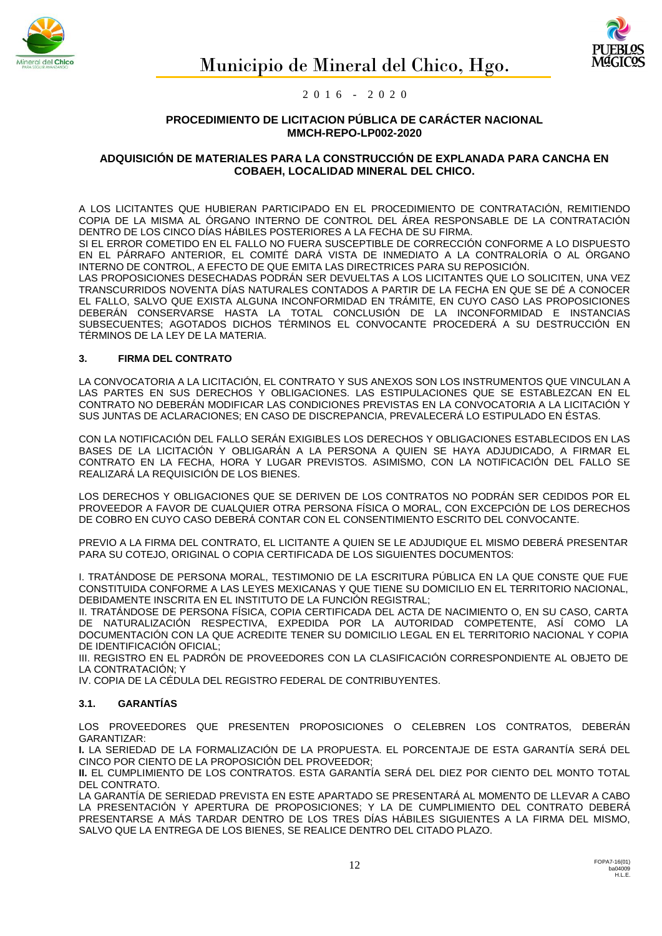



**PROCEDIMIENTO DE LICITACION PÚBLICA DE CARÁCTER NACIONAL MMCH-REPO-LP002-2020**

## **ADQUISICIÓN DE MATERIALES PARA LA CONSTRUCCIÓN DE EXPLANADA PARA CANCHA EN COBAEH, LOCALIDAD MINERAL DEL CHICO.**

A LOS LICITANTES QUE HUBIERAN PARTICIPADO EN EL PROCEDIMIENTO DE CONTRATACIÓN, REMITIENDO COPIA DE LA MISMA AL ÓRGANO INTERNO DE CONTROL DEL ÁREA RESPONSABLE DE LA CONTRATACIÓN DENTRO DE LOS CINCO DÍAS HÁBILES POSTERIORES A LA FECHA DE SU FIRMA.

SI EL ERROR COMETIDO EN EL FALLO NO FUERA SUSCEPTIBLE DE CORRECCIÓN CONFORME A LO DISPUESTO EN EL PÁRRAFO ANTERIOR, EL COMITÉ DARÁ VISTA DE INMEDIATO A LA CONTRALORÍA O AL ÓRGANO INTERNO DE CONTROL, A EFECTO DE QUE EMITA LAS DIRECTRICES PARA SU REPOSICIÓN.

LAS PROPOSICIONES DESECHADAS PODRÁN SER DEVUELTAS A LOS LICITANTES QUE LO SOLICITEN, UNA VEZ TRANSCURRIDOS NOVENTA DÍAS NATURALES CONTADOS A PARTIR DE LA FECHA EN QUE SE DÉ A CONOCER EL FALLO, SALVO QUE EXISTA ALGUNA INCONFORMIDAD EN TRÁMITE, EN CUYO CASO LAS PROPOSICIONES DEBERÁN CONSERVARSE HASTA LA TOTAL CONCLUSIÓN DE LA INCONFORMIDAD E INSTANCIAS SUBSECUENTES; AGOTADOS DICHOS TÉRMINOS EL CONVOCANTE PROCEDERÁ A SU DESTRUCCIÓN EN TÉRMINOS DE LA LEY DE LA MATERIA.

## **3. FIRMA DEL CONTRATO**

LA CONVOCATORIA A LA LICITACIÓN, EL CONTRATO Y SUS ANEXOS SON LOS INSTRUMENTOS QUE VINCULAN A LAS PARTES EN SUS DERECHOS Y OBLIGACIONES. LAS ESTIPULACIONES QUE SE ESTABLEZCAN EN EL CONTRATO NO DEBERÁN MODIFICAR LAS CONDICIONES PREVISTAS EN LA CONVOCATORIA A LA LICITACIÓN Y SUS JUNTAS DE ACLARACIONES; EN CASO DE DISCREPANCIA, PREVALECERÁ LO ESTIPULADO EN ÉSTAS.

CON LA NOTIFICACIÓN DEL FALLO SERÁN EXIGIBLES LOS DERECHOS Y OBLIGACIONES ESTABLECIDOS EN LAS BASES DE LA LICITACIÓN Y OBLIGARÁN A LA PERSONA A QUIEN SE HAYA ADJUDICADO, A FIRMAR EL CONTRATO EN LA FECHA, HORA Y LUGAR PREVISTOS. ASIMISMO, CON LA NOTIFICACIÓN DEL FALLO SE REALIZARÁ LA REQUISICIÓN DE LOS BIENES.

LOS DERECHOS Y OBLIGACIONES QUE SE DERIVEN DE LOS CONTRATOS NO PODRÁN SER CEDIDOS POR EL PROVEEDOR A FAVOR DE CUALQUIER OTRA PERSONA FÍSICA O MORAL, CON EXCEPCIÓN DE LOS DERECHOS DE COBRO EN CUYO CASO DEBERÁ CONTAR CON EL CONSENTIMIENTO ESCRITO DEL CONVOCANTE.

PREVIO A LA FIRMA DEL CONTRATO, EL LICITANTE A QUIEN SE LE ADJUDIQUE EL MISMO DEBERÁ PRESENTAR PARA SU COTEJO, ORIGINAL O COPIA CERTIFICADA DE LOS SIGUIENTES DOCUMENTOS:

I. TRATÁNDOSE DE PERSONA MORAL, TESTIMONIO DE LA ESCRITURA PÚBLICA EN LA QUE CONSTE QUE FUE CONSTITUIDA CONFORME A LAS LEYES MEXICANAS Y QUE TIENE SU DOMICILIO EN EL TERRITORIO NACIONAL, DEBIDAMENTE INSCRITA EN EL INSTITUTO DE LA FUNCIÓN REGISTRAL;

II. TRATÁNDOSE DE PERSONA FÍSICA, COPIA CERTIFICADA DEL ACTA DE NACIMIENTO O, EN SU CASO, CARTA DE NATURALIZACIÓN RESPECTIVA, EXPEDIDA POR LA AUTORIDAD COMPETENTE, ASÍ COMO LA DOCUMENTACIÓN CON LA QUE ACREDITE TENER SU DOMICILIO LEGAL EN EL TERRITORIO NACIONAL Y COPIA DE IDENTIFICACIÓN OFICIAL;

III. REGISTRO EN EL PADRÓN DE PROVEEDORES CON LA CLASIFICACIÓN CORRESPONDIENTE AL OBJETO DE LA CONTRATACIÓN; Y

IV. COPIA DE LA CÉDULA DEL REGISTRO FEDERAL DE CONTRIBUYENTES.

## **3.1. GARANTÍAS**

LOS PROVEEDORES QUE PRESENTEN PROPOSICIONES O CELEBREN LOS CONTRATOS, DEBERÁN GARANTIZAR:

**I.** LA SERIEDAD DE LA FORMALIZACIÓN DE LA PROPUESTA. EL PORCENTAJE DE ESTA GARANTÍA SERÁ DEL CINCO POR CIENTO DE LA PROPOSICIÓN DEL PROVEEDOR;

**II.** EL CUMPLIMIENTO DE LOS CONTRATOS. ESTA GARANTÍA SERÁ DEL DIEZ POR CIENTO DEL MONTO TOTAL DEL CONTRATO.

LA GARANTÍA DE SERIEDAD PREVISTA EN ESTE APARTADO SE PRESENTARÁ AL MOMENTO DE LLEVAR A CABO LA PRESENTACIÓN Y APERTURA DE PROPOSICIONES; Y LA DE CUMPLIMIENTO DEL CONTRATO DEBERÁ PRESENTARSE A MÁS TARDAR DENTRO DE LOS TRES DÍAS HÁBILES SIGUIENTES A LA FIRMA DEL MISMO, SALVO QUE LA ENTREGA DE LOS BIENES, SE REALICE DENTRO DEL CITADO PLAZO.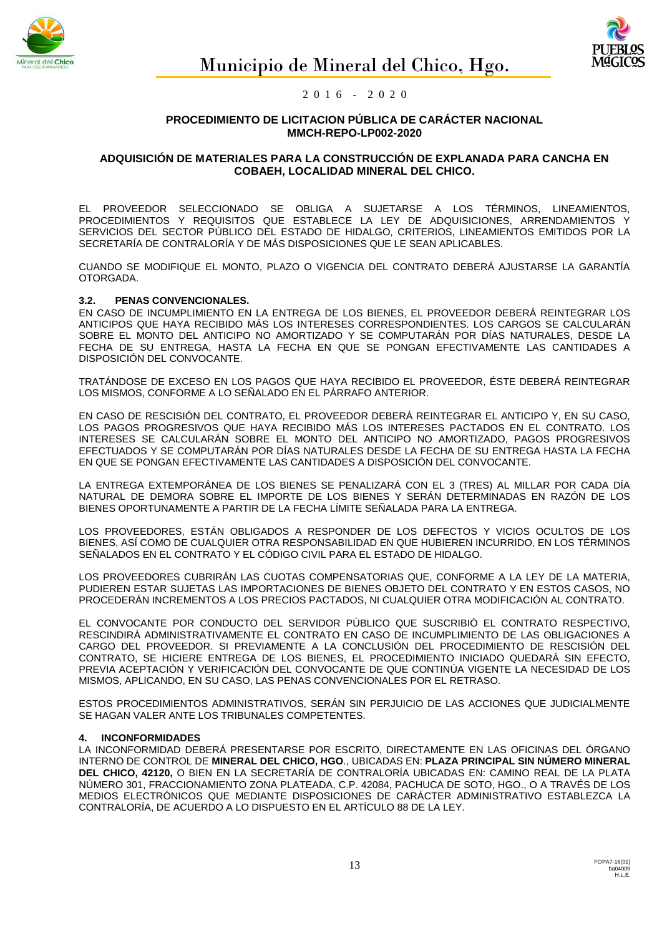



#### **PROCEDIMIENTO DE LICITACION PÚBLICA DE CARÁCTER NACIONAL MMCH-REPO-LP002-2020**

## **ADQUISICIÓN DE MATERIALES PARA LA CONSTRUCCIÓN DE EXPLANADA PARA CANCHA EN COBAEH, LOCALIDAD MINERAL DEL CHICO.**

EL PROVEEDOR SELECCIONADO SE OBLIGA A SUJETARSE A LOS TÉRMINOS, LINEAMIENTOS, PROCEDIMIENTOS Y REQUISITOS QUE ESTABLECE LA LEY DE ADQUISICIONES, ARRENDAMIENTOS Y SERVICIOS DEL SECTOR PÙBLICO DEL ESTADO DE HIDALGO, CRITERIOS, LINEAMIENTOS EMITIDOS POR LA SECRETARÍA DE CONTRALORÍA Y DE MÁS DISPOSICIONES QUE LE SEAN APLICABLES.

CUANDO SE MODIFIQUE EL MONTO, PLAZO O VIGENCIA DEL CONTRATO DEBERÁ AJUSTARSE LA GARANTÍA OTORGADA.

## **3.2. PENAS CONVENCIONALES.**

EN CASO DE INCUMPLIMIENTO EN LA ENTREGA DE LOS BIENES, EL PROVEEDOR DEBERÁ REINTEGRAR LOS ANTICIPOS QUE HAYA RECIBIDO MÁS LOS INTERESES CORRESPONDIENTES. LOS CARGOS SE CALCULARÁN SOBRE EL MONTO DEL ANTICIPO NO AMORTIZADO Y SE COMPUTARÁN POR DÍAS NATURALES, DESDE LA FECHA DE SU ENTREGA, HASTA LA FECHA EN QUE SE PONGAN EFECTIVAMENTE LAS CANTIDADES A DISPOSICIÓN DEL CONVOCANTE.

TRATÁNDOSE DE EXCESO EN LOS PAGOS QUE HAYA RECIBIDO EL PROVEEDOR, ÉSTE DEBERÁ REINTEGRAR LOS MISMOS, CONFORME A LO SEÑALADO EN EL PÁRRAFO ANTERIOR.

EN CASO DE RESCISIÓN DEL CONTRATO, EL PROVEEDOR DEBERÁ REINTEGRAR EL ANTICIPO Y, EN SU CASO, LOS PAGOS PROGRESIVOS QUE HAYA RECIBIDO MÁS LOS INTERESES PACTADOS EN EL CONTRATO. LOS INTERESES SE CALCULARÁN SOBRE EL MONTO DEL ANTICIPO NO AMORTIZADO, PAGOS PROGRESIVOS EFECTUADOS Y SE COMPUTARÁN POR DÍAS NATURALES DESDE LA FECHA DE SU ENTREGA HASTA LA FECHA EN QUE SE PONGAN EFECTIVAMENTE LAS CANTIDADES A DISPOSICIÓN DEL CONVOCANTE.

LA ENTREGA EXTEMPORÁNEA DE LOS BIENES SE PENALIZARÁ CON EL 3 (TRES) AL MILLAR POR CADA DÍA NATURAL DE DEMORA SOBRE EL IMPORTE DE LOS BIENES Y SERÁN DETERMINADAS EN RAZÓN DE LOS BIENES OPORTUNAMENTE A PARTIR DE LA FECHA LÍMITE SEÑALADA PARA LA ENTREGA.

LOS PROVEEDORES, ESTÁN OBLIGADOS A RESPONDER DE LOS DEFECTOS Y VICIOS OCULTOS DE LOS BIENES, ASÍ COMO DE CUALQUIER OTRA RESPONSABILIDAD EN QUE HUBIEREN INCURRIDO, EN LOS TÉRMINOS SEÑALADOS EN EL CONTRATO Y EL CÓDIGO CIVIL PARA EL ESTADO DE HIDALGO.

LOS PROVEEDORES CUBRIRÁN LAS CUOTAS COMPENSATORIAS QUE, CONFORME A LA LEY DE LA MATERIA, PUDIEREN ESTAR SUJETAS LAS IMPORTACIONES DE BIENES OBJETO DEL CONTRATO Y EN ESTOS CASOS, NO PROCEDERÁN INCREMENTOS A LOS PRECIOS PACTADOS, NI CUALQUIER OTRA MODIFICACIÓN AL CONTRATO.

EL CONVOCANTE POR CONDUCTO DEL SERVIDOR PÚBLICO QUE SUSCRIBIÓ EL CONTRATO RESPECTIVO, RESCINDIRÁ ADMINISTRATIVAMENTE EL CONTRATO EN CASO DE INCUMPLIMIENTO DE LAS OBLIGACIONES A CARGO DEL PROVEEDOR. SI PREVIAMENTE A LA CONCLUSIÓN DEL PROCEDIMIENTO DE RESCISIÓN DEL CONTRATO, SE HICIERE ENTREGA DE LOS BIENES, EL PROCEDIMIENTO INICIADO QUEDARÁ SIN EFECTO, PREVIA ACEPTACIÓN Y VERIFICACIÓN DEL CONVOCANTE DE QUE CONTINÚA VIGENTE LA NECESIDAD DE LOS MISMOS, APLICANDO, EN SU CASO, LAS PENAS CONVENCIONALES POR EL RETRASO.

ESTOS PROCEDIMIENTOS ADMINISTRATIVOS, SERÁN SIN PERJUICIO DE LAS ACCIONES QUE JUDICIALMENTE SE HAGAN VALER ANTE LOS TRIBUNALES COMPETENTES.

#### **4. INCONFORMIDADES**

LA INCONFORMIDAD DEBERÁ PRESENTARSE POR ESCRITO, DIRECTAMENTE EN LAS OFICINAS DEL ÓRGANO INTERNO DE CONTROL DE **MINERAL DEL CHICO, HGO**., UBICADAS EN: **PLAZA PRINCIPAL SIN NÚMERO MINERAL DEL CHICO, 42120,** O BIEN EN LA SECRETARÍA DE CONTRALORÍA UBICADAS EN: CAMINO REAL DE LA PLATA NÚMERO 301, FRACCIONAMIENTO ZONA PLATEADA, C.P. 42084, PACHUCA DE SOTO, HGO., O A TRAVÉS DE LOS MEDIOS ELECTRÓNICOS QUE MEDIANTE DISPOSICIONES DE CARÁCTER ADMINISTRATIVO ESTABLEZCA LA CONTRALORÍA, DE ACUERDO A LO DISPUESTO EN EL ARTÍCULO 88 DE LA LEY.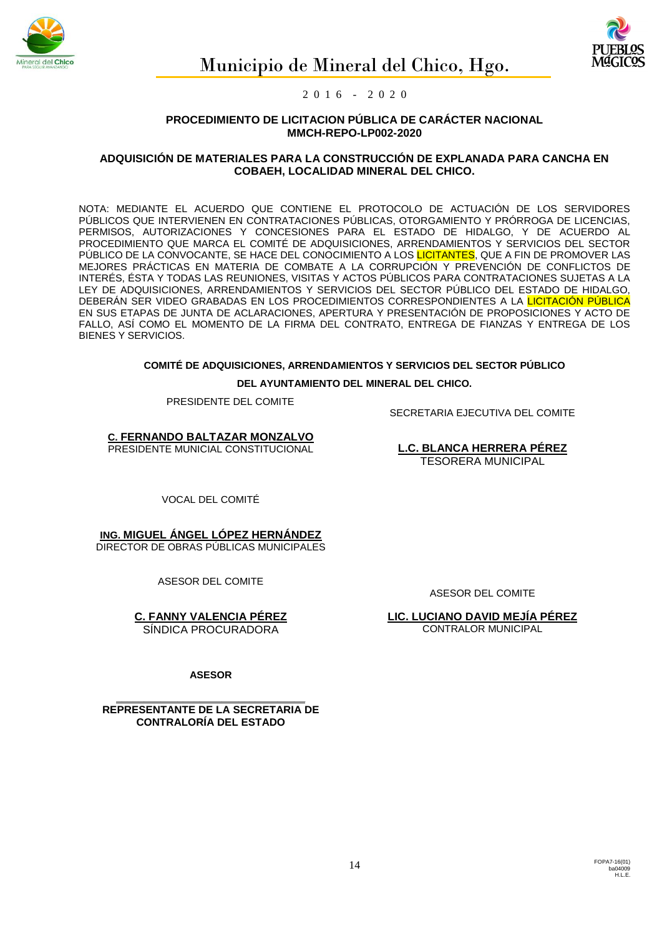



**PROCEDIMIENTO DE LICITACION PÚBLICA DE CARÁCTER NACIONAL MMCH-REPO-LP002-2020**

## **ADQUISICIÓN DE MATERIALES PARA LA CONSTRUCCIÓN DE EXPLANADA PARA CANCHA EN COBAEH, LOCALIDAD MINERAL DEL CHICO.**

NOTA: MEDIANTE EL ACUERDO QUE CONTIENE EL PROTOCOLO DE ACTUACIÓN DE LOS SERVIDORES PÚBLICOS QUE INTERVIENEN EN CONTRATACIONES PÚBLICAS, OTORGAMIENTO Y PRÓRROGA DE LICENCIAS, PERMISOS, AUTORIZACIONES Y CONCESIONES PARA EL ESTADO DE HIDALGO, Y DE ACUERDO AL PROCEDIMIENTO QUE MARCA EL COMITÉ DE ADQUISICIONES, ARRENDAMIENTOS Y SERVICIOS DEL SECTOR PÚBLICO DE LA CONVOCANTE, SE HACE DEL CONOCIMIENTO A LOS <mark>LICITANTES</mark>, QUE A FIN DE PROMOVER LAS MEJORES PRÁCTICAS EN MATERIA DE COMBATE A LA CORRUPCIÓN Y PREVENCIÓN DE CONFLICTOS DE INTERÉS, ÉSTA Y TODAS LAS REUNIONES, VISITAS Y ACTOS PÚBLICOS PARA CONTRATACIONES SUJETAS A LA LEY DE ADQUISICIONES, ARRENDAMIENTOS Y SERVICIOS DEL SECTOR PÚBLICO DEL ESTADO DE HIDALGO, DEBERÁN SER VIDEO GRABADAS EN LOS PROCEDIMIENTOS CORRESPONDIENTES A LA LICITACIÓN PÚBLICA EN SUS ETAPAS DE JUNTA DE ACLARACIONES, APERTURA Y PRESENTACIÓN DE PROPOSICIONES Y ACTO DE FALLO, ASÍ COMO EL MOMENTO DE LA FIRMA DEL CONTRATO, ENTREGA DE FIANZAS Y ENTREGA DE LOS BIENES Y SERVICIOS.

**COMITÉ DE ADQUISICIONES, ARRENDAMIENTOS Y SERVICIOS DEL SECTOR PÚBLICO** 

**DEL AYUNTAMIENTO DEL MINERAL DEL CHICO.**

PRESIDENTE DEL COMITE

SECRETARIA EJECUTIVA DEL COMITE

**C. FERNANDO BALTAZAR MONZALVO** PRESIDENTE MUNICIAL CONSTITUCIONAL

**L.C. BLANCA HERRERA PÉREZ**  TESORERA MUNICIPAL

VOCAL DEL COMITÉ

**ING. MIGUEL ÁNGEL LÓPEZ HERNÁNDEZ** DIRECTOR DE OBRAS PÚBLICAS MUNICIPALES

ASESOR DEL COMITE

**C. FANNY VALENCIA PÉREZ** SÍNDICA PROCURADORA

ASESOR DEL COMITE

**LIC. LUCIANO DAVID MEJÍA PÉREZ** CONTRALOR MUNICIPAL

**ASESOR**

**\_\_\_\_\_\_\_\_\_\_\_\_\_\_\_\_\_\_\_\_\_\_\_\_\_\_\_\_\_\_\_\_\_\_ REPRESENTANTE DE LA SECRETARIA DE CONTRALORÍA DEL ESTADO**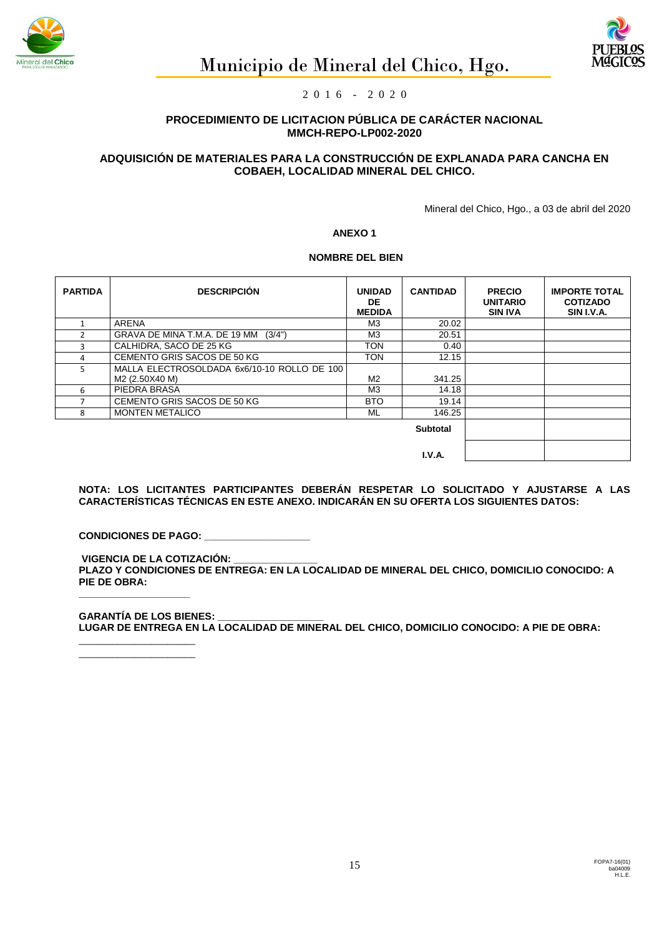





# **PROCEDIMIENTO DE LICITACION PÚBLICA DE CARÁCTER NACIONAL MMCH-REPO-LP002-2020**

# **ADQUISICIÓN DE MATERIALES PARA LA CONSTRUCCIÓN DE EXPLANADA PARA CANCHA EN COBAEH, LOCALIDAD MINERAL DEL CHICO.**

Mineral del Chico, Hgo., a 03 de abril del 2020

#### **ANEXO 1**

## **NOMBRE DEL BIEN**

| <b>PARTIDA</b> | <b>DESCRIPCIÓN</b>                                            | <b>UNIDAD</b><br>DE.<br><b>MEDIDA</b> | <b>CANTIDAD</b> | <b>PRECIO</b><br><b>UNITARIO</b><br><b>SIN IVA</b> | <b>IMPORTE TOTAL</b><br><b>COTIZADO</b><br>SIN I.V.A. |
|----------------|---------------------------------------------------------------|---------------------------------------|-----------------|----------------------------------------------------|-------------------------------------------------------|
|                | <b>ARENA</b>                                                  | M3                                    | 20.02           |                                                    |                                                       |
|                | GRAVA DE MINA T.M.A. DE 19 MM (3/4")                          | M3                                    | 20.51           |                                                    |                                                       |
| 3              | CALHIDRA, SACO DE 25 KG                                       | <b>TON</b>                            | 0.40            |                                                    |                                                       |
| 4              | CEMENTO GRIS SACOS DE 50 KG                                   | <b>TON</b>                            | 12.15           |                                                    |                                                       |
| Ы              | MALLA ELECTROSOLDADA 6x6/10-10 ROLLO DE 100<br>M2 (2.50X40 M) | M <sub>2</sub>                        | 341.25          |                                                    |                                                       |
| 6              | PIEDRA BRASA                                                  | MЗ                                    | 14.18           |                                                    |                                                       |
|                | CEMENTO GRIS SACOS DE 50 KG                                   | <b>BTO</b>                            | 19.14           |                                                    |                                                       |
| 8              | <b>MONTEN METALICO</b>                                        | ML                                    | 146.25          |                                                    |                                                       |
|                |                                                               |                                       |                 |                                                    |                                                       |
|                |                                                               |                                       |                 |                                                    |                                                       |

**NOTA: LOS LICITANTES PARTICIPANTES DEBERÁN RESPETAR LO SOLICITADO Y AJUSTARSE A LAS CARACTERÍSTICAS TÉCNICAS EN ESTE ANEXO. INDICARÁN EN SU OFERTA LOS SIGUIENTES DATOS:**

**CONDICIONES DE PAGO: \_\_** 

**VIGENCIA DE LA COTIZACIÓN: \_\_\_\_\_\_\_\_\_\_\_\_\_\_\_ PLAZO Y CONDICIONES DE ENTREGA: EN LA LOCALIDAD DE MINERAL DEL CHICO, DOMICILIO CONOCIDO: A PIE DE OBRA:**

**GARANTÍA DE LOS BIENES: LUGAR DE ENTREGA EN LA LOCALIDAD DE MINERAL DEL CHICO, DOMICILIO CONOCIDO: A PIE DE OBRA:**

\_\_\_\_\_\_\_\_\_\_\_\_\_\_\_\_\_\_\_\_\_  $\overline{\phantom{a}}$  , we can also the contract of  $\overline{\phantom{a}}$ 

**\_\_\_\_\_\_\_\_\_\_\_\_\_\_\_\_\_\_\_\_**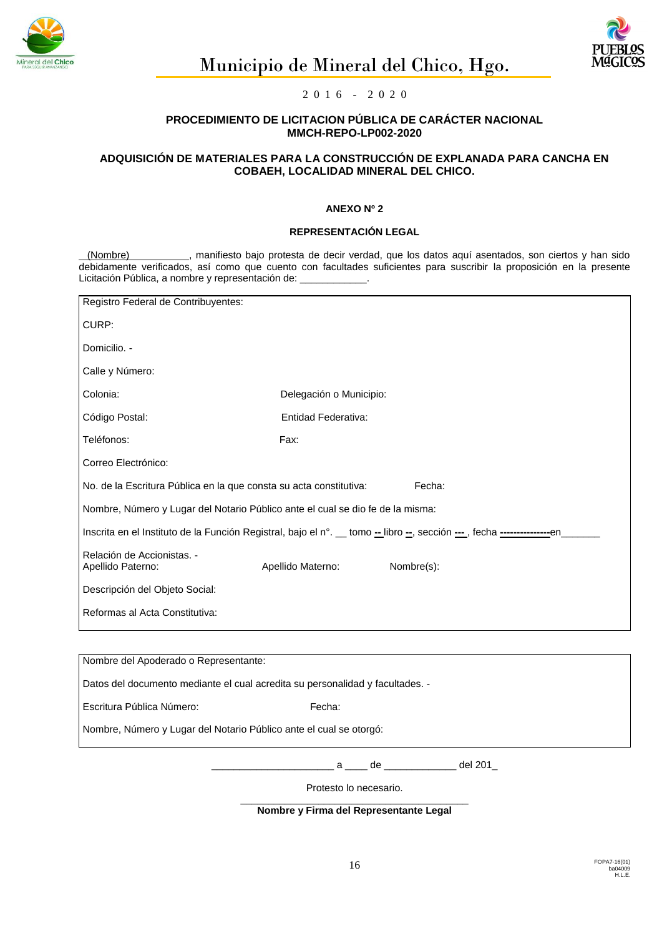



## **PROCEDIMIENTO DE LICITACION PÚBLICA DE CARÁCTER NACIONAL MMCH-REPO-LP002-2020**

## **ADQUISICIÓN DE MATERIALES PARA LA CONSTRUCCIÓN DE EXPLANADA PARA CANCHA EN COBAEH, LOCALIDAD MINERAL DEL CHICO.**

#### **ANEXO Nº 2**

# **REPRESENTACIÓN LEGAL**

(Nombre) , manifiesto bajo protesta de decir verdad, que los datos aquí asentados, son ciertos y han sido debidamente verificados, así como que cuento con facultades suficientes para suscribir la proposición en la presente Licitación Pública, a nombre y representación de:

| Registro Federal de Contribuyentes:                                                                                         |                                     |            |  |  |  |  |  |
|-----------------------------------------------------------------------------------------------------------------------------|-------------------------------------|------------|--|--|--|--|--|
| CURP:                                                                                                                       |                                     |            |  |  |  |  |  |
| Domicilio. -                                                                                                                |                                     |            |  |  |  |  |  |
| Calle y Número:                                                                                                             |                                     |            |  |  |  |  |  |
| Colonia:                                                                                                                    | Delegación o Municipio:             |            |  |  |  |  |  |
| Código Postal:                                                                                                              | Entidad Federativa:                 |            |  |  |  |  |  |
| Teléfonos:                                                                                                                  | Fax:                                |            |  |  |  |  |  |
| Correo Electrónico:                                                                                                         |                                     |            |  |  |  |  |  |
| No. de la Escritura Pública en la que consta su acta constitutiva:<br>Fecha:                                                |                                     |            |  |  |  |  |  |
| Nombre, Número y Lugar del Notario Público ante el cual se dio fe de la misma:                                              |                                     |            |  |  |  |  |  |
| Inscrita en el Instituto de la Función Registral, bajo el n°. __ tomo -_ libro -_, sección ---_, fecha -----------------en_ |                                     |            |  |  |  |  |  |
| Relación de Accionistas. -<br>Apellido Paterno:                                                                             | Apellido Materno:                   | Nombre(s): |  |  |  |  |  |
| Descripción del Objeto Social:                                                                                              |                                     |            |  |  |  |  |  |
| Reformas al Acta Constitutiva:                                                                                              |                                     |            |  |  |  |  |  |
|                                                                                                                             |                                     |            |  |  |  |  |  |
| Nombre del Apoderado o Representante:                                                                                       |                                     |            |  |  |  |  |  |
| Datos del documento mediante el cual acredita su personalidad y facultades. -                                               |                                     |            |  |  |  |  |  |
| Escritura Pública Número:                                                                                                   | Fecha:                              |            |  |  |  |  |  |
| Nombre, Número y Lugar del Notario Público ante el cual se otorgó:                                                          |                                     |            |  |  |  |  |  |
|                                                                                                                             | ____ a ____ de ___________ del 201_ |            |  |  |  |  |  |
| Protesto lo necesario.                                                                                                      |                                     |            |  |  |  |  |  |

\_\_\_\_\_\_\_\_\_\_\_\_\_\_\_\_\_\_\_\_\_\_\_\_\_\_\_\_\_\_\_\_\_\_\_\_\_\_\_\_\_ **Nombre y Firma del Representante Legal**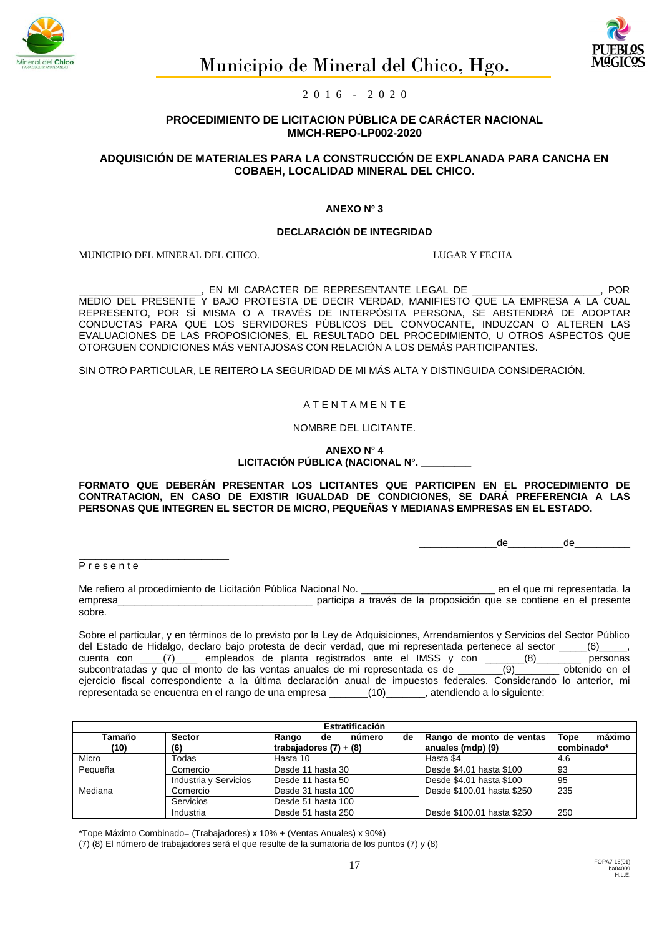



## **PROCEDIMIENTO DE LICITACION PÚBLICA DE CARÁCTER NACIONAL MMCH-REPO-LP002-2020**

## **ADQUISICIÓN DE MATERIALES PARA LA CONSTRUCCIÓN DE EXPLANADA PARA CANCHA EN COBAEH, LOCALIDAD MINERAL DEL CHICO.**

#### **ANEXO Nº 3**

#### **DECLARACIÓN DE INTEGRIDAD**

MUNICIPIO DEL MINERAL DEL CHICO. LUGAR Y FECHA

\_\_\_\_\_\_\_\_\_\_\_\_\_\_\_\_\_\_\_\_\_\_, EN MI CARÁCTER DE REPRESENTANTE LEGAL DE \_\_\_\_\_\_\_\_\_\_\_\_\_\_\_\_\_\_\_\_\_\_\_, POR MEDIO DEL PRESENTE Y BAJO PROTESTA DE DECIR VERDAD, MANIFIESTO QUE LA EMPRESA A LA CUAL REPRESENTO, POR SÍ MISMA O A TRAVÉS DE INTERPÓSITA PERSONA, SE ABSTENDRÁ DE ADOPTAR CONDUCTAS PARA QUE LOS SERVIDORES PÚBLICOS DEL CONVOCANTE, INDUZCAN O ALTEREN LAS EVALUACIONES DE LAS PROPOSICIONES, EL RESULTADO DEL PROCEDIMIENTO, U OTROS ASPECTOS QUE OTORGUEN CONDICIONES MÁS VENTAJOSAS CON RELACIÓN A LOS DEMÁS PARTICIPANTES.

SIN OTRO PARTICULAR, LE REITERO LA SEGURIDAD DE MI MÁS ALTA Y DISTINGUIDA CONSIDERACIÓN.

#### A T E N T A M E N T E

NOMBRE DEL LICITANTE.

**ANEXO N° 4** LICITACIÓN PÚBLICA (NACIONAL N°.

**FORMATO QUE DEBERÁN PRESENTAR LOS LICITANTES QUE PARTICIPEN EN EL PROCEDIMIENTO DE CONTRATACION, EN CASO DE EXISTIR IGUALDAD DE CONDICIONES, SE DARÁ PREFERENCIA A LAS PERSONAS QUE INTEGREN EL SECTOR DE MICRO, PEQUEÑAS Y MEDIANAS EMPRESAS EN EL ESTADO.**

\_\_\_\_\_\_\_\_\_\_\_\_\_\_de\_\_\_\_\_\_\_\_\_\_de\_\_\_\_\_\_\_\_\_\_

Presente

\_\_\_\_\_\_\_\_\_\_\_\_\_\_\_\_\_\_\_\_\_\_\_\_\_\_\_

Me refiero al procedimiento de Licitación Pública Nacional No.<br>
participa a través de la proposición que se contiene en el presente empresa participa a través de la proposición que se contiene en el presente sobre.

Sobre el particular, y en términos de lo previsto por la Ley de Adquisiciones, Arrendamientos y Servicios del Sector Público del Estado de Hidalgo, declaro bajo protesta de decir verdad, que mi representada pertenece al sector \_\_\_\_\_(6)\_\_\_\_\_, cuenta con \_\_\_\_(7)\_\_\_\_ empleados de planta registrados ante el IMSS y con \_\_\_\_\_\_\_(8)\_\_\_\_\_\_\_\_ personas subcontratadas y que el monto de las ventas anuales de mi representada es de \_\_\_\_\_\_\_\_(9)\_\_\_\_\_\_\_\_ obtenido en el ejercicio fiscal correspondiente a la última declaración anual de impuestos federales. Considerando lo anterior, mi representada se encuentra en el rango de una empresa \_\_\_\_\_\_\_(10)\_\_\_\_\_\_\_, atendiendo a lo siguiente:

| Estratificación         |                               |                             |                            |                |  |  |  |  |  |
|-------------------------|-------------------------------|-----------------------------|----------------------------|----------------|--|--|--|--|--|
| Tamaño<br><b>Sector</b> |                               | Rango<br>de<br>número<br>de | Rango de monto de ventas   | máximo<br>Tope |  |  |  |  |  |
| (10)                    | (6)                           | trabajadores $(7) + (8)$    | anuales (mdp) (9)          | combinado*     |  |  |  |  |  |
| Micro                   | Todas                         | Hasta 10                    | Hasta \$4                  | 4.6            |  |  |  |  |  |
| Pequeña                 | Comercio<br>Desde 11 hasta 30 |                             | Desde \$4.01 hasta \$100   | 93             |  |  |  |  |  |
|                         | Industria y Servicios         | Desde 11 hasta 50           | Desde \$4.01 hasta \$100   | 95             |  |  |  |  |  |
| Mediana                 | Comercio                      | Desde 31 hasta 100          | Desde \$100.01 hasta \$250 | 235            |  |  |  |  |  |
|                         | Servicios                     | Desde 51 hasta 100          |                            |                |  |  |  |  |  |
|                         | Industria                     | Desde 51 hasta 250          | Desde \$100.01 hasta \$250 | 250            |  |  |  |  |  |

\*Tope Máximo Combinado= (Trabajadores) x 10% + (Ventas Anuales) x 90%)

(7) (8) El número de trabajadores será el que resulte de la sumatoria de los puntos (7) y (8)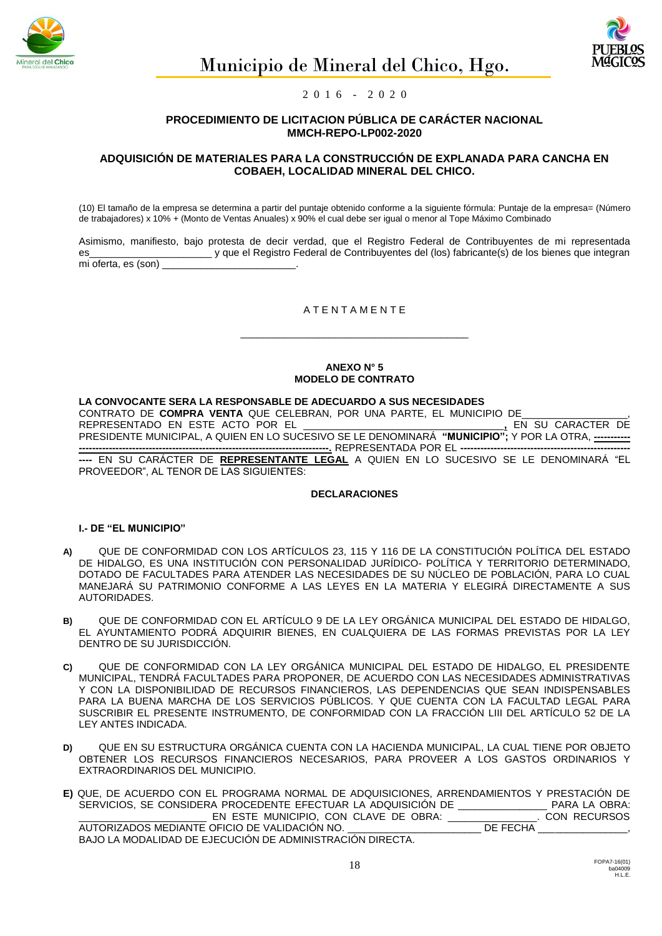



## **PROCEDIMIENTO DE LICITACION PÚBLICA DE CARÁCTER NACIONAL MMCH-REPO-LP002-2020**

## **ADQUISICIÓN DE MATERIALES PARA LA CONSTRUCCIÓN DE EXPLANADA PARA CANCHA EN COBAEH, LOCALIDAD MINERAL DEL CHICO.**

(10) El tamaño de la empresa se determina a partir del puntaje obtenido conforme a la siguiente fórmula: Puntaje de la empresa= (Número de trabajadores) x 10% + (Monto de Ventas Anuales) x 90% el cual debe ser igual o menor al Tope Máximo Combinado

Asimismo, manifiesto, bajo protesta de decir verdad, que el Registro Federal de Contribuyentes de mi representada es es tempo de la Registro Federal de Contribuyentes del (los) fabricante(s) de los bienes que integrante de l mi oferta, es (son)

## A T E N T A M E N T E

\_\_\_\_\_\_\_\_\_\_\_\_\_\_\_\_\_\_\_\_\_\_\_\_\_\_\_\_\_\_\_\_\_\_\_\_\_\_\_\_\_

#### **ANEXO N° 5 MODELO DE CONTRATO**

#### **LA CONVOCANTE SERA LA RESPONSABLE DE ADECUARDO A SUS NECESIDADES**

CONTRATO DE **COMPRA VENTA** QUE CELEBRAN, POR UNA PARTE, EL MUNICIPIO DE\_\_\_\_\_\_\_\_\_\_\_\_\_\_\_\_\_\_\_,

REPRESENTADO EN ESTE ACTO POR EL \_\_\_\_\_\_\_\_\_\_\_\_\_\_\_\_\_\_\_\_\_\_\_\_\_\_\_\_\_\_\_\_\_\_\_\_**,** EN SU CARACTER DE PRESIDENTE MUNICIPAL, A QUIEN EN LO SUCESIVO SE LE DENOMINARÁ **"MUNICIPIO";** Y POR LA OTRA, **----------- ---------------------------------------------------------------------------.** REPRESENTADA POR EL **---------------------------------------------------**

**----** EN SU CARÁCTER DE **REPRESENTANTE LEGAL** A QUIEN EN LO SUCESIVO SE LE DENOMINARÁ "EL PROVEEDOR", AL TENOR DE LAS SIGUIENTES:

#### **DECLARACIONES**

## **I.- DE "EL MUNICIPIO"**

- **A)** QUE DE CONFORMIDAD CON LOS ARTÍCULOS 23, 115 Y 116 DE LA CONSTITUCIÓN POLÍTICA DEL ESTADO DE HIDALGO, ES UNA INSTITUCIÓN CON PERSONALIDAD JURÍDICO- POLÍTICA Y TERRITORIO DETERMINADO, DOTADO DE FACULTADES PARA ATENDER LAS NECESIDADES DE SU NÚCLEO DE POBLACIÓN, PARA LO CUAL MANEJARÁ SU PATRIMONIO CONFORME A LAS LEYES EN LA MATERIA Y ELEGIRÁ DIRECTAMENTE A SUS AUTORIDADES.
- **B)** QUE DE CONFORMIDAD CON EL ARTÍCULO 9 DE LA LEY ORGÁNICA MUNICIPAL DEL ESTADO DE HIDALGO, EL AYUNTAMIENTO PODRÁ ADQUIRIR BIENES, EN CUALQUIERA DE LAS FORMAS PREVISTAS POR LA LEY DENTRO DE SU JURISDICCIÓN.
- **C)** QUE DE CONFORMIDAD CON LA LEY ORGÁNICA MUNICIPAL DEL ESTADO DE HIDALGO, EL PRESIDENTE MUNICIPAL, TENDRÁ FACULTADES PARA PROPONER, DE ACUERDO CON LAS NECESIDADES ADMINISTRATIVAS Y CON LA DISPONIBILIDAD DE RECURSOS FINANCIEROS, LAS DEPENDENCIAS QUE SEAN INDISPENSABLES PARA LA BUENA MARCHA DE LOS SERVICIOS PÚBLICOS. Y QUE CUENTA CON LA FACULTAD LEGAL PARA SUSCRIBIR EL PRESENTE INSTRUMENTO, DE CONFORMIDAD CON LA FRACCIÓN LIII DEL ARTÍCULO 52 DE LA LEY ANTES INDICADA.
- **D)** QUE EN SU ESTRUCTURA ORGÁNICA CUENTA CON LA HACIENDA MUNICIPAL, LA CUAL TIENE POR OBJETO OBTENER LOS RECURSOS FINANCIEROS NECESARIOS, PARA PROVEER A LOS GASTOS ORDINARIOS Y EXTRAORDINARIOS DEL MUNICIPIO.

**E)** QUE, DE ACUERDO CON EL PROGRAMA NORMAL DE ADQUISICIONES, ARRENDAMIENTOS Y PRESTACIÓN DE SERVICIOS, SE CONSIDERA PROCEDENTE EFECTUAR LA ADQUISICIÓN DE \_\_\_\_\_\_\_\_\_\_\_\_\_\_\_\_\_\_\_ PARA LA OBRA:<br>\_\_\_\_\_\_\_\_\_\_\_\_\_\_\_\_\_\_\_\_\_\_\_\_\_\_\_\_\_\_ EN ESTE MUNICIPIO, CON CLAVE DE OBRA: \_\_\_\_\_\_\_\_\_\_\_\_\_\_\_\_\_. CON RECURSOS EN ESTE MUNICIPIO, CON CLAVE DE OBRA: \_ AUTORIZADOS MEDIANTE OFICIO DE VALIDACIÓN NO. \_\_\_\_\_\_\_\_\_\_\_\_\_\_\_\_\_\_\_\_\_\_\_\_\_\_\_\_DE FECHA \_ BAJO LA MODALIDAD DE EJECUCIÓN DE ADMINISTRACIÓN DIRECTA.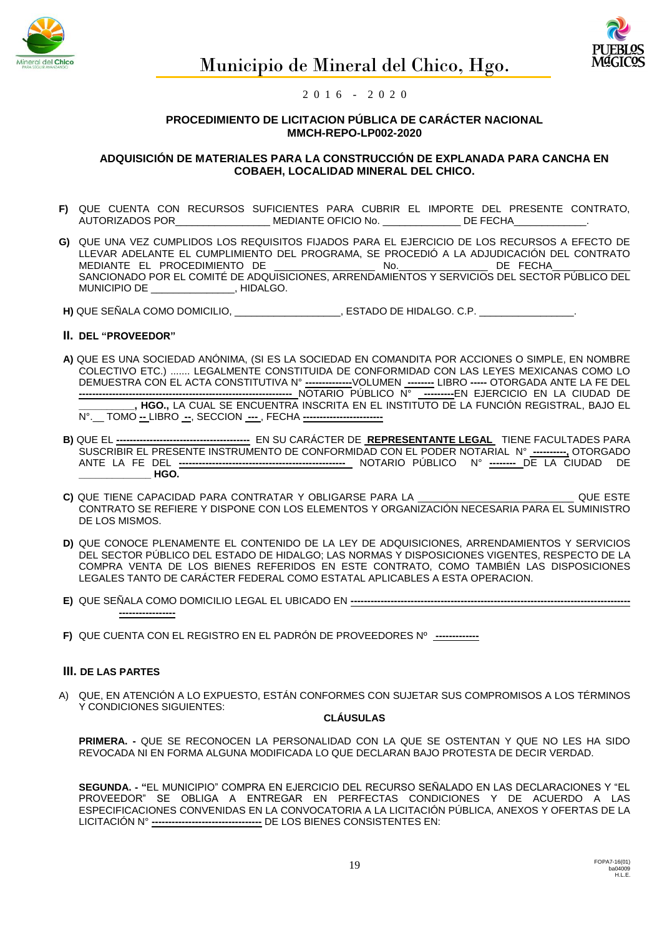



## **PROCEDIMIENTO DE LICITACION PÚBLICA DE CARÁCTER NACIONAL MMCH-REPO-LP002-2020**

## **ADQUISICIÓN DE MATERIALES PARA LA CONSTRUCCIÓN DE EXPLANADA PARA CANCHA EN COBAEH, LOCALIDAD MINERAL DEL CHICO.**

- **F)** QUE CUENTA CON RECURSOS SUFICIENTES PARA CUBRIR EL IMPORTE DEL PRESENTE CONTRATO, AUTORIZADOS POR\_\_\_\_\_\_\_\_\_\_\_\_\_\_\_\_\_ MEDIANTE OFICIO No. \_\_\_\_\_\_\_\_\_\_\_\_\_\_ DE FECHA\_\_\_\_\_\_\_\_\_\_\_\_\_.
- **G)** QUE UNA VEZ CUMPLIDOS LOS REQUISITOS FIJADOS PARA EL EJERCICIO DE LOS RECURSOS A EFECTO DE LLEVAR ADELANTE EL CUMPLIMIENTO DEL PROGRAMA, SE PROCEDIÓ A LA ADJUDICACIÓN DEL CONTRATO MEDIANTE EL PROCEDIMIENTO DE  $\qquad \qquad$ No.  $\qquad \qquad$ DE FECHA SANCIONADO POR EL COMITÉ DE ADQUISICIONES, ARRENDAMIENTOS Y SERVICIOS DEL SECTOR PÚBLICO DEL<br>MUNICIPIO DE LA EL COMITÉ DE ADOLIGO. \_\_\_\_\_\_\_\_\_\_, HIDALGO.
- **H)** QUE SEÑALA COMO DOMICILIO, \_\_\_\_\_\_\_\_\_\_\_\_\_\_\_\_\_\_\_, ESTADO DE HIDALGO. C.P. \_\_\_\_\_\_\_\_\_\_\_\_\_\_\_\_\_.

## **II. DEL "PROVEEDOR"**

- **A)** QUE ES UNA SOCIEDAD ANÓNIMA, (SI ES LA SOCIEDAD EN COMANDITA POR ACCIONES O SIMPLE, EN NOMBRE COLECTIVO ETC.) ....... LEGALMENTE CONSTITUIDA DE CONFORMIDAD CON LAS LEYES MEXICANAS COMO LO DEMUESTRA CON EL ACTA CONSTITUTIVA N° **--------------**VOLUMEN **--------** LIBRO **-----** OTORGADA ANTE LA FE DEL **----------------------------------------------------------------** NOTARIO PÚBLICO N° **---------**EN EJERCICIO EN LA CIUDAD DE **\_\_\_\_\_\_\_\_\_\_, HGO.,** LA CUAL SE ENCUENTRA INSCRITA EN EL INSTITUTO DE LA FUNCIÓN REGISTRAL, BAJO EL N°.\_\_ TOMO **--** LIBRO **--**, SECCION **---** , FECHA **------------------------**
- **B)** QUE EL **----------------------------------------** EN SU CARÁCTER DE **REPRESENTANTE LEGAL** TIENE FACULTADES PARA SUSCRIBIR EL PRESENTE INSTRUMENTO DE CONFORMIDAD CON EL PODER NOTARIAL N° **----------,** OTORGADO ANTE LA FE DEL **--------------------------------------------------** NOTARIO PÚBLICO N° **--------** DE LA CIUDAD DE **\_\_\_\_\_\_\_\_\_\_\_\_\_ HGO.**
- **C)** QUE TIENE CAPACIDAD PARA CONTRATAR Y OBLIGARSE PARA LA \_\_\_\_\_\_\_\_\_\_\_\_\_\_\_\_\_\_\_\_\_\_\_\_\_\_\_\_ QUE ESTE CONTRATO SE REFIERE Y DISPONE CON LOS ELEMENTOS Y ORGANIZACIÓN NECESARIA PARA EL SUMINISTRO DE LOS MISMOS.
- **D)** QUE CONOCE PLENAMENTE EL CONTENIDO DE LA LEY DE ADQUISICIONES, ARRENDAMIENTOS Y SERVICIOS DEL SECTOR PÚBLICO DEL ESTADO DE HIDALGO; LAS NORMAS Y DISPOSICIONES VIGENTES, RESPECTO DE LA COMPRA VENTA DE LOS BIENES REFERIDOS EN ESTE CONTRATO, COMO TAMBIÉN LAS DISPOSICIONES LEGALES TANTO DE CARÁCTER FEDERAL COMO ESTATAL APLICABLES A ESTA OPERACION.
- **E)** QUE SEÑALA COMO DOMICILIO LEGAL EL UBICADO EN **------------------------------------------------------------------------------------ -----------------**
- **F)** QUE CUENTA CON EL REGISTRO EN EL PADRÓN DE PROVEEDORES Nº **-------------**

## **III. DE LAS PARTES**

A) QUE, EN ATENCIÓN A LO EXPUESTO, ESTÁN CONFORMES CON SUJETAR SUS COMPROMISOS A LOS TÉRMINOS Y CONDICIONES SIGUIENTES:

#### **CLÁUSULAS**

**PRIMERA. -** QUE SE RECONOCEN LA PERSONALIDAD CON LA QUE SE OSTENTAN Y QUE NO LES HA SIDO REVOCADA NI EN FORMA ALGUNA MODIFICADA LO QUE DECLARAN BAJO PROTESTA DE DECIR VERDAD.

**SEGUNDA. - "**EL MUNICIPIO" COMPRA EN EJERCICIO DEL RECURSO SEÑALADO EN LAS DECLARACIONES Y "EL PROVEEDOR" SE OBLIGA A ENTREGAR EN PERFECTAS CONDICIONES Y DE ACUERDO A LAS ESPECIFICACIONES CONVENIDAS EN LA CONVOCATORIA A LA LICITACIÓN PÚBLICA, ANEXOS Y OFERTAS DE LA LICITACIÓN N° **---------------------------------** DE LOS BIENES CONSISTENTES EN: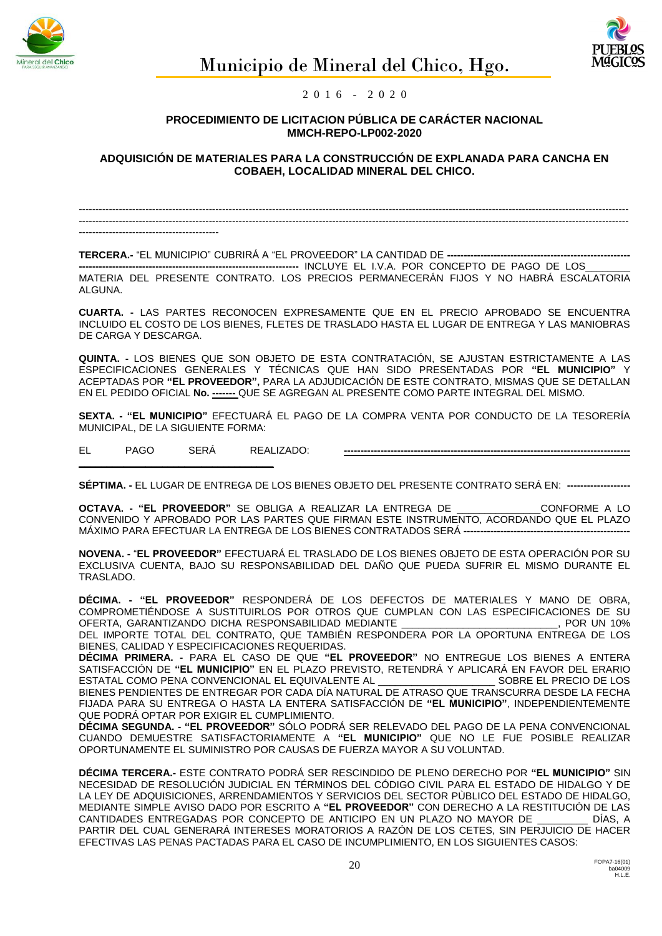



## **PROCEDIMIENTO DE LICITACION PÚBLICA DE CARÁCTER NACIONAL MMCH-REPO-LP002-2020**

**ADQUISICIÓN DE MATERIALES PARA LA CONSTRUCCIÓN DE EXPLANADA PARA CANCHA EN COBAEH, LOCALIDAD MINERAL DEL CHICO.**

--------------------------------------------------------------------------------------------------------------------------------------------------------------------- --------------------------------------------------------------------------------------------------------------------------------------------------------------------- ------------------------------------------

TERCERA.- "EL MUNICIPIO" CUBRIRÁ A "EL PROVEEDOR" LA CANTIDAD DE ----

**------------------------------------------------------------------** INCLUYE EL I.V.A. POR CONCEPTO DE PAGO DE LOS\_\_\_\_\_\_\_\_ MATERIA DEL PRESENTE CONTRATO. LOS PRECIOS PERMANECERÁN FIJOS Y NO HABRÁ ESCALATORIA ALGUNA.

**CUARTA. -** LAS PARTES RECONOCEN EXPRESAMENTE QUE EN EL PRECIO APROBADO SE ENCUENTRA INCLUIDO EL COSTO DE LOS BIENES, FLETES DE TRASLADO HASTA EL LUGAR DE ENTREGA Y LAS MANIOBRAS DE CARGA Y DESCARGA.

**QUINTA. -** LOS BIENES QUE SON OBJETO DE ESTA CONTRATACIÓN, SE AJUSTAN ESTRICTAMENTE A LAS ESPECIFICACIONES GENERALES Y TÉCNICAS QUE HAN SIDO PRESENTADAS POR **"EL MUNICIPIO"** Y ACEPTADAS POR **"EL PROVEEDOR",** PARA LA ADJUDICACIÓN DE ESTE CONTRATO, MISMAS QUE SE DETALLAN EN EL PEDIDO OFICIAL **No. -------** QUE SE AGREGAN AL PRESENTE COMO PARTE INTEGRAL DEL MISMO.

**SEXTA. - "EL MUNICIPIO"** EFECTUARÁ EL PAGO DE LA COMPRA VENTA POR CONDUCTO DE LA TESORERÍA MUNICIPAL, DE LA SIGUIENTE FORMA:

EL PAGO SERÁ REALIZADO: **--------------------------------------------------------------------------------------**

**\_\_\_\_\_\_\_\_\_\_\_\_\_\_\_\_\_\_\_\_\_\_\_\_\_\_\_\_\_\_\_\_\_\_\_**

**SÉPTIMA. -** EL LUGAR DE ENTREGA DE LOS BIENES OBJETO DEL PRESENTE CONTRATO SERÁ EN: **-------------------**

**OCTAVA. - "EL PROVEEDOR"** SE OBLIGA A REALIZAR LA ENTREGA DE \_\_\_\_\_\_\_\_\_\_\_\_\_\_\_CONFORME A LO CONVENIDO Y APROBADO POR LAS PARTES QUE FIRMAN ESTE INSTRUMENTO, ACORDANDO QUE EL PLAZO MÁXIMO PARA EFECTUAR LA ENTREGA DE LOS BIENES CONTRATADOS SERÁ ---

**NOVENA. -** "**EL PROVEEDOR"** EFECTUARÁ EL TRASLADO DE LOS BIENES OBJETO DE ESTA OPERACIÓN POR SU EXCLUSIVA CUENTA, BAJO SU RESPONSABILIDAD DEL DAÑO QUE PUEDA SUFRIR EL MISMO DURANTE EL TRASLADO.

**DÉCIMA. - "EL PROVEEDOR"** RESPONDERÁ DE LOS DEFECTOS DE MATERIALES Y MANO DE OBRA, COMPROMETIÉNDOSE A SUSTITUIRLOS POR OTROS QUE CUMPLAN CON LAS ESPECIFICACIONES DE SU OFERTA, GARANTIZANDO DICHA RESPONSABILIDAD MEDIANTE \_\_\_\_\_\_\_\_\_\_\_\_\_\_\_\_\_\_\_\_\_\_\_\_\_\_\_\_, POR UN 10% DEL IMPORTE TOTAL DEL CONTRATO, QUE TAMBIÉN RESPONDERA POR LA OPORTUNA ENTREGA DE LOS

BIENES, CALIDAD Y ESPECIFICACIONES REQUERIDAS. **DÉCIMA PRIMERA. -** PARA EL CASO DE QUE **"EL PROVEEDOR"** NO ENTREGUE LOS BIENES A ENTERA SATISFACCIÓN DE **"EL MUNICIPIO"** EN EL PLAZO PREVISTO, RETENDRÁ Y APLICARÁ EN FAVOR DEL ERARIO ESTATAL COMO PENA CONVENCIONAL EL EQUIVALENTE AL \_\_\_\_\_\_\_\_\_\_\_\_\_\_\_\_\_\_\_\_\_ SOBRE EL PRECIO DE LOS BIENES PENDIENTES DE ENTREGAR POR CADA DÍA NATURAL DE ATRASO QUE TRANSCURRA DESDE LA FECHA FIJADA PARA SU ENTREGA O HASTA LA ENTERA SATISFACCIÓN DE **"EL MUNICIPIO"**, INDEPENDIENTEMENTE QUE PODRÁ OPTAR POR EXIGIR EL CUMPLIMIENTO.

**DÉCIMA SEGUNDA. - "EL PROVEEDOR"** SÓLO PODRÁ SER RELEVADO DEL PAGO DE LA PENA CONVENCIONAL CUANDO DEMUESTRE SATISFACTORIAMENTE A **"EL MUNICIPIO"** QUE NO LE FUE POSIBLE REALIZAR OPORTUNAMENTE EL SUMINISTRO POR CAUSAS DE FUERZA MAYOR A SU VOLUNTAD.

**DÉCIMA TERCERA.-** ESTE CONTRATO PODRÁ SER RESCINDIDO DE PLENO DERECHO POR **"EL MUNICIPIO"** SIN NECESIDAD DE RESOLUCIÓN JUDICIAL EN TÉRMINOS DEL CÓDIGO CIVIL PARA EL ESTADO DE HIDALGO Y DE LA LEY DE ADQUISICIONES, ARRENDAMIENTOS Y SERVICIOS DEL SECTOR PÙBLICO DEL ESTADO DE HIDALGO, MEDIANTE SIMPLE AVISO DADO POR ESCRITO A **"EL PROVEEDOR"** CON DERECHO A LA RESTITUCIÓN DE LAS CANTIDADES ENTREGADAS POR CONCEPTO DE ANTICIPO EN UN PLAZO NO MAYOR DE \_\_\_\_\_\_\_\_\_ DÍAS, A PARTIR DEL CUAL GENERARÁ INTERESES MORATORIOS A RAZÓN DE LOS CETES, SIN PERJUICIO DE HACER EFECTIVAS LAS PENAS PACTADAS PARA EL CASO DE INCUMPLIMIENTO, EN LOS SIGUIENTES CASOS: